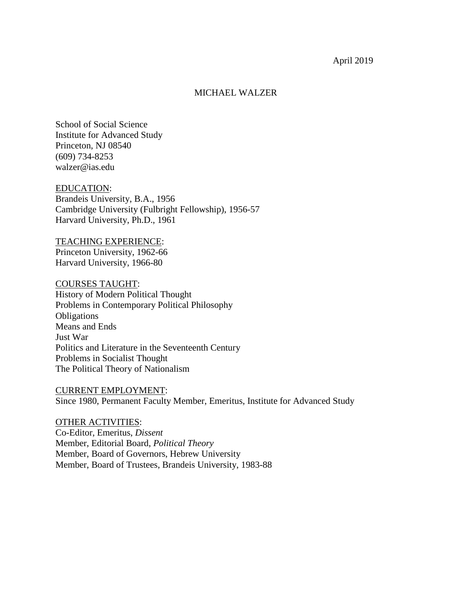#### April 2019

#### MICHAEL WALZER

School of Social Science Institute for Advanced Study Princeton, NJ 08540 (609) 734-8253 walzer@ias.edu

#### EDUCATION:

Brandeis University, B.A., 1956 Cambridge University (Fulbright Fellowship), 1956-57 Harvard University, Ph.D., 1961

### TEACHING EXPERIENCE:

Princeton University, 1962-66 Harvard University, 1966-80

COURSES TAUGHT: History of Modern Political Thought Problems in Contemporary Political Philosophy **Obligations** Means and Ends Just War Politics and Literature in the Seventeenth Century Problems in Socialist Thought The Political Theory of Nationalism

#### CURRENT EMPLOYMENT:

Since 1980, Permanent Faculty Member, Emeritus, Institute for Advanced Study

#### OTHER ACTIVITIES:

Co-Editor, Emeritus, *Dissent* Member, Editorial Board, *Political Theory* Member, Board of Governors, Hebrew University Member, Board of Trustees, Brandeis University, 1983-88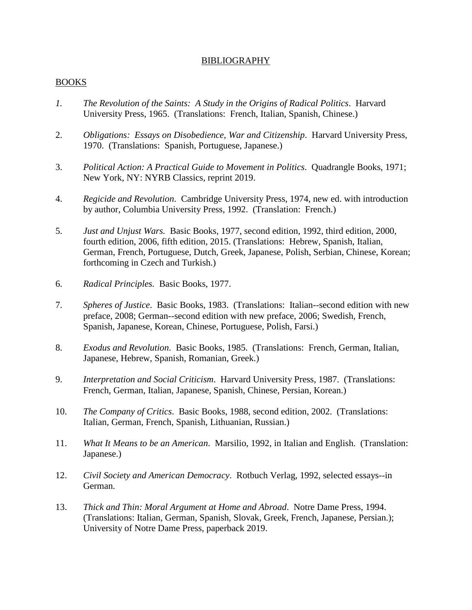## BIBLIOGRAPHY

## BOOKS

- *1. The Revolution of the Saints: A Study in the Origins of Radical Politics*. Harvard University Press, 1965. (Translations: French, Italian, Spanish, Chinese.)
- 2. *Obligations: Essays on Disobedience, War and Citizenship*. Harvard University Press, 1970. (Translations: Spanish, Portuguese, Japanese.)
- 3. *Political Action: A Practical Guide to Movement in Politics*. Quadrangle Books, 1971; New York, NY: NYRB Classics, reprint 2019.
- 4. *Regicide and Revolution*. Cambridge University Press, 1974, new ed. with introduction by author, Columbia University Press, 1992. (Translation: French.)
- 5. *Just and Unjust Wars.* Basic Books, 1977, second edition, 1992, third edition, 2000, fourth edition, 2006, fifth edition, 2015. (Translations: Hebrew, Spanish, Italian, German, French, Portuguese, Dutch, Greek, Japanese, Polish, Serbian, Chinese, Korean; forthcoming in Czech and Turkish.)
- 6. *Radical Principles.* Basic Books, 1977.
- 7. *Spheres of Justice*. Basic Books, 1983. (Translations: Italian--second edition with new preface, 2008; German--second edition with new preface, 2006; Swedish, French, Spanish, Japanese, Korean, Chinese, Portuguese, Polish, Farsi.)
- 8. *Exodus and Revolution*. Basic Books, 1985. (Translations: French, German, Italian, Japanese, Hebrew, Spanish, Romanian, Greek.)
- 9. *Interpretation and Social Criticism*. Harvard University Press, 1987. (Translations: French, German, Italian, Japanese, Spanish, Chinese, Persian, Korean.)
- 10. *The Company of Critics*. Basic Books, 1988, second edition, 2002. (Translations: Italian, German, French, Spanish, Lithuanian, Russian.)
- 11. *What It Means to be an American*. Marsilio, 1992, in Italian and English. (Translation: Japanese.)
- 12. *Civil Society and American Democracy*. Rotbuch Verlag, 1992, selected essays--in German.
- 13. *Thick and Thin: Moral Argument at Home and Abroad*. Notre Dame Press, 1994. (Translations: Italian, German, Spanish, Slovak, Greek, French, Japanese, Persian.); University of Notre Dame Press, paperback 2019.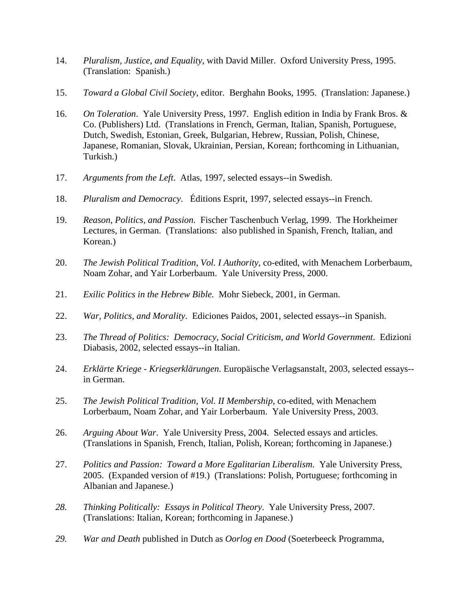- 14. *Pluralism, Justice, and Equality*, with David Miller. Oxford University Press, 1995. (Translation: Spanish.)
- 15. *Toward a Global Civil Society*, editor. Berghahn Books, 1995. (Translation: Japanese.)
- 16. *On Toleration*. Yale University Press, 1997. English edition in India by Frank Bros. & Co. (Publishers) Ltd. (Translations in French, German, Italian, Spanish, Portuguese, Dutch, Swedish, Estonian, Greek, Bulgarian, Hebrew, Russian, Polish, Chinese, Japanese, Romanian, Slovak, Ukrainian, Persian, Korean; forthcoming in Lithuanian, Turkish.)
- 17. *Arguments from the Left*. Atlas, 1997, selected essays--in Swedish.
- 18. *Pluralism and Democracy*. Éditions Esprit, 1997, selected essays--in French.
- 19. *Reason, Politics, and Passion*. Fischer Taschenbuch Verlag, 1999. The Horkheimer Lectures, in German. (Translations: also published in Spanish, French, Italian, and Korean.)
- 20. *The Jewish Political Tradition, Vol. I Authority,* co-edited, with Menachem Lorberbaum, Noam Zohar, and Yair Lorberbaum. Yale University Press, 2000.
- 21. *Exilic Politics in the Hebrew Bible.* Mohr Siebeck, 2001, in German.
- 22. *War, Politics, and Morality*. Ediciones Paidos, 2001, selected essays--in Spanish.
- 23. *The Thread of Politics: Democracy, Social Criticism, and World Government*. Edizioni Diabasis, 2002, selected essays--in Italian.
- 24. *Erklärte Kriege - Kriegserklärungen*. Europäische Verlagsanstalt, 2003, selected essays- in German.
- 25. *The Jewish Political Tradition, Vol. II Membership*, co-edited, with Menachem Lorberbaum, Noam Zohar, and Yair Lorberbaum. Yale University Press, 2003.
- 26. *Arguing About War*. Yale University Press, 2004. Selected essays and articles. (Translations in Spanish, French, Italian, Polish, Korean; forthcoming in Japanese.)
- 27. *Politics and Passion: Toward a More Egalitarian Liberalism*. Yale University Press, 2005. (Expanded version of #19.) (Translations: Polish, Portuguese; forthcoming in Albanian and Japanese.)
- *28. Thinking Politically: Essays in Political Theory*. Yale University Press, 2007. (Translations: Italian, Korean; forthcoming in Japanese.)
- *29. War and Death* published in Dutch as *Oorlog en Dood* (Soeterbeeck Programma,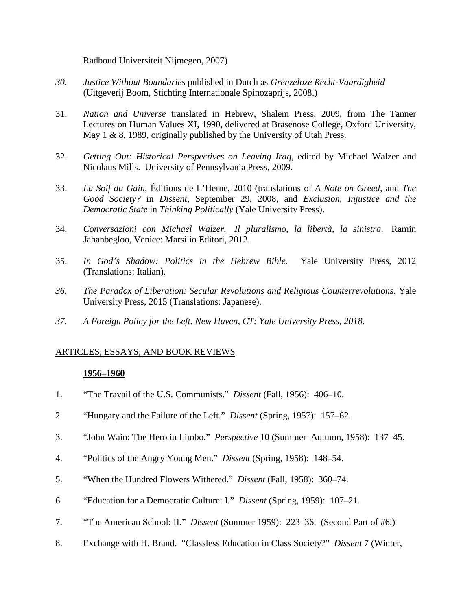Radboud Universiteit Nijmegen, 2007)

- *30. Justice Without Boundaries* published in Dutch as *Grenzeloze Recht-Vaardigheid* (Uitgeverij Boom, Stichting Internationale Spinozaprijs, 2008.)
- 31. *Nation and Universe* translated in Hebrew, Shalem Press, 2009, from The Tanner Lectures on Human Values XI, 1990, delivered at Brasenose College, Oxford University, May 1 & 8, 1989, originally published by the University of Utah Press.
- 32. *Getting Out: Historical Perspectives on Leaving Iraq*, edited by Michael Walzer and Nicolaus Mills. University of Pennsylvania Press, 2009.
- 33. *La Soif du Gain*, Éditions de L'Herne, 2010 (translations of *A Note on Greed*, and *The Good Society?* in *Dissent*, September 29, 2008, and *Exclusion, Injustice and the Democratic State* in *Thinking Politically* (Yale University Press).
- 34. *Conversazioni con Michael Walzer. Il pluralismo, la libertà, la sinistra*. Ramin Jahanbegloo, Venice: Marsilio Editori, 2012.
- 35. *In God's Shadow: Politics in the Hebrew Bible.* Yale University Press, 2012 (Translations: Italian).
- *36. The Paradox of Liberation: Secular Revolutions and Religious Counterrevolutions.* Yale University Press, 2015 (Translations: Japanese).
- *37. A Foreign Policy for the Left. New Haven, CT: Yale University Press, 2018.*

# ARTICLES, ESSAYS, AND BOOK REVIEWS

### **1956–1960**

- 1. "The Travail of the U.S. Communists." *Dissent* (Fall, 1956): 406–10.
- 2. "Hungary and the Failure of the Left." *Dissent* (Spring, 1957): 157–62.
- 3. "John Wain: The Hero in Limbo." *Perspective* 10 (Summer–Autumn, 1958): 137–45.
- 4. "Politics of the Angry Young Men." *Dissent* (Spring, 1958): 148–54.
- 5. "When the Hundred Flowers Withered." *Dissent* (Fall, 1958): 360–74.
- 6. "Education for a Democratic Culture: I." *Dissent* (Spring, 1959): 107–21.
- 7. "The American School: II." *Dissent* (Summer 1959): 223–36. (Second Part of #6.)
- 8. Exchange with H. Brand. "Classless Education in Class Society?" *Dissent* 7 (Winter,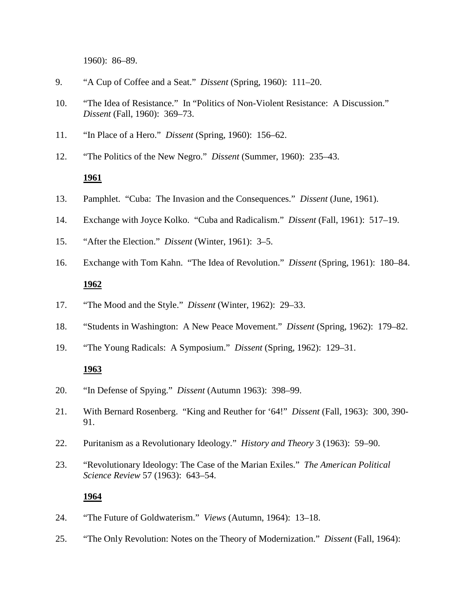1960): 86–89.

- 9. "A Cup of Coffee and a Seat." *Dissent* (Spring, 1960): 111–20.
- 10. "The Idea of Resistance."In "Politics of Non-Violent Resistance: A Discussion." *Dissent* (Fall, 1960): 369–73.
- 11. "In Place of a Hero." *Dissent* (Spring, 1960): 156–62.
- 12. "The Politics of the New Negro." *Dissent* (Summer, 1960): 235–43.

# **1961**

- 13. Pamphlet. "Cuba: The Invasion and the Consequences." *Dissent* (June, 1961).
- 14. Exchange with Joyce Kolko. "Cuba and Radicalism." *Dissent* (Fall, 1961): 517–19.
- 15. "After the Election." *Dissent* (Winter, 1961): 3–5.
- 16. Exchange with Tom Kahn. "The Idea of Revolution." *Dissent* (Spring, 1961): 180–84. **1962**
- 17. "The Mood and the Style." *Dissent* (Winter, 1962): 29–33.
- 18. "Students in Washington: A New Peace Movement." *Dissent* (Spring, 1962): 179–82.
- 19. "The Young Radicals: A Symposium." *Dissent* (Spring, 1962): 129–31.

## **1963**

- 20. "In Defense of Spying." *Dissent* (Autumn 1963): 398–99.
- 21. With Bernard Rosenberg. "King and Reuther for '64!" *Dissent* (Fall, 1963): 300, 390- 91.
- 22. Puritanism as a Revolutionary Ideology." *History and Theory* 3 (1963): 59–90.
- 23. "Revolutionary Ideology: The Case of the Marian Exiles." *The American Political Science Review* 57 (1963): 643–54.

- 24. "The Future of Goldwaterism." *Views* (Autumn, 1964): 13–18.
- 25. "The Only Revolution: Notes on the Theory of Modernization." *Dissent* (Fall, 1964):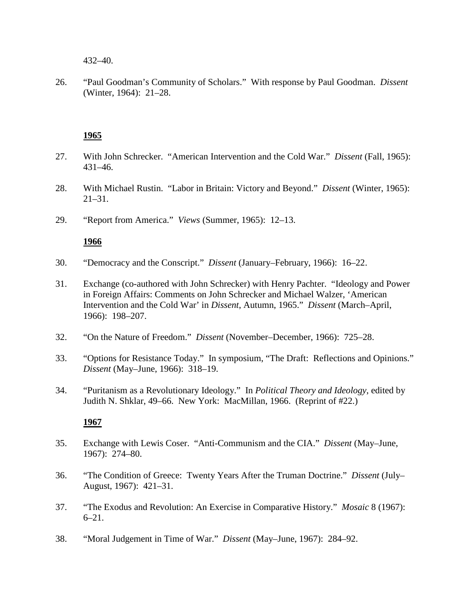432–40.

26. "Paul Goodman's Community of Scholars." With response by Paul Goodman. *Dissent*  (Winter, 1964): 21–28.

# **1965**

- 27. With John Schrecker. "American Intervention and the Cold War." *Dissent* (Fall, 1965): 431–46.
- 28. With Michael Rustin. "Labor in Britain: Victory and Beyond." *Dissent* (Winter, 1965): 21–31.
- 29. "Report from America." *Views* (Summer, 1965): 12–13.

# **1966**

- 30. "Democracy and the Conscript." *Dissent* (January–February, 1966): 16–22.
- 31. Exchange (co-authored with John Schrecker) with Henry Pachter. "Ideology and Power in Foreign Affairs: Comments on John Schrecker and Michael Walzer, 'American Intervention and the Cold War' in *Dissent*, Autumn, 1965." *Dissent* (March–April, 1966): 198–207.
- 32. "On the Nature of Freedom." *Dissent* (November–December, 1966): 725–28.
- 33. "Options for Resistance Today." In symposium, "The Draft: Reflections and Opinions." *Dissent* (May–June, 1966): 318–19.
- 34. "Puritanism as a Revolutionary Ideology." In *Political Theory and Ideology*, edited by Judith N. Shklar, 49–66. New York: MacMillan, 1966. (Reprint of #22.)

- 35. Exchange with Lewis Coser. "Anti-Communism and the CIA." *Dissent* (May–June, 1967): 274–80.
- 36. "The Condition of Greece: Twenty Years After the Truman Doctrine." *Dissent* (July– August, 1967): 421–31.
- 37. "The Exodus and Revolution: An Exercise in Comparative History." *Mosaic* 8 (1967): 6–21.
- 38. "Moral Judgement in Time of War." *Dissent* (May–June, 1967): 284–92.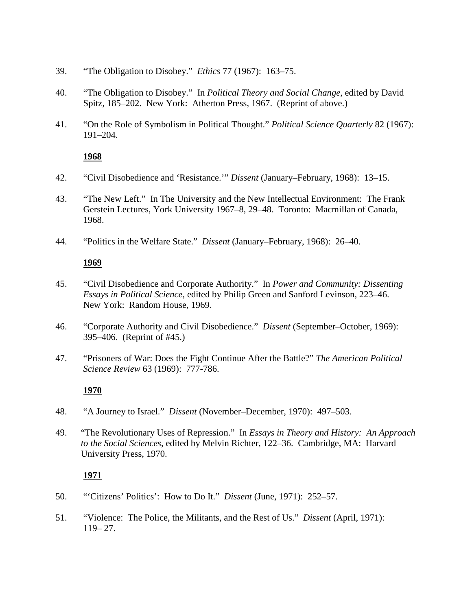- 39. "The Obligation to Disobey." *Ethics* 77 (1967): 163–75.
- 40. "The Obligation to Disobey." In *Political Theory and Social Change*, edited by David Spitz, 185–202. New York: Atherton Press, 1967. (Reprint of above.)
- 41. "On the Role of Symbolism in Political Thought." *Political Science Quarterly* 82 (1967): 191–204.

- 42. "Civil Disobedience and 'Resistance.'" *Dissent* (January–February, 1968): 13–15.
- 43. "The New Left." In The University and the New Intellectual Environment: The Frank Gerstein Lectures, York University 1967–8, 29–48. Toronto: Macmillan of Canada, 1968.
- 44. "Politics in the Welfare State." *Dissent* (January–February, 1968): 26–40.

# **1969**

- 45. "Civil Disobedience and Corporate Authority." In *Power and Community: Dissenting Essays in Political Science*, edited by Philip Green and Sanford Levinson, 223–46. New York: Random House, 1969.
- 46. "Corporate Authority and Civil Disobedience." *Dissent* (September–October, 1969): 395–406. (Reprint of #45.)
- 47. "Prisoners of War: Does the Fight Continue After the Battle?" *The American Political Science Review* 63 (1969): 777-786.

# **1970**

- 48. "A Journey to Israel." *Dissent* (November–December, 1970): 497–503.
- 49. "The Revolutionary Uses of Repression." In *Essays in Theory and History: An Approach to the Social Sciences*, edited by Melvin Richter, 122–36. Cambridge, MA: Harvard University Press, 1970.

- 50. "'Citizens' Politics': How to Do It." *Dissent* (June, 1971): 252–57.
- 51. "Violence: The Police, the Militants, and the Rest of Us." *Dissent* (April, 1971): 119– 27.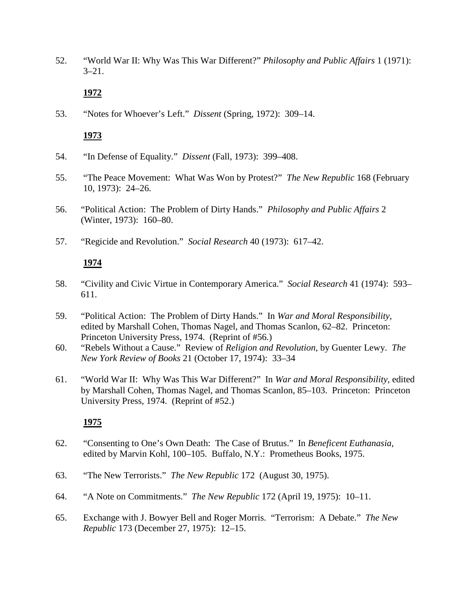52. "World War II: Why Was This War Different?" *Philosophy and Public Affairs* 1 (1971):  $3 - 21$ .

# **1972**

53. "Notes for Whoever's Left." *Dissent* (Spring, 1972): 309–14.

# **1973**

- 54. "In Defense of Equality." *Dissent* (Fall, 1973): 399–408.
- 55. "The Peace Movement: What Was Won by Protest?" *The New Republic* 168 (February 10, 1973): 24–26.
- 56. "Political Action: The Problem of Dirty Hands." *Philosophy and Public Affairs* 2 (Winter, 1973): 160–80.
- 57. "Regicide and Revolution." *Social Research* 40 (1973): 617–42.

# **1974**

- 58. "Civility and Civic Virtue in Contemporary America." *Social Research* 41 (1974): 593– 611.
- 59. "Political Action: The Problem of Dirty Hands." In *War and Moral Responsibility*, edited by Marshall Cohen, Thomas Nagel, and Thomas Scanlon, 62–82. Princeton: Princeton University Press, 1974. (Reprint of #56.)
- 60. "Rebels Without a Cause." Review of *Religion and Revolution*, by Guenter Lewy. *The New York Review of Books* 21 (October 17, 1974): 33–34
- 61. "World War II: Why Was This War Different?" In *War and Moral Responsibility*, edited by Marshall Cohen, Thomas Nagel, and Thomas Scanlon, 85–103. Princeton: Princeton University Press, 1974. (Reprint of #52.)

- 62. "Consenting to One's Own Death: The Case of Brutus." In *Beneficent Euthanasia*, edited by Marvin Kohl, 100–105. Buffalo, N.Y.: Prometheus Books, 1975.
- 63. "The New Terrorists." *The New Republic* 172 (August 30, 1975).
- 64. "A Note on Commitments." *The New Republic* 172 (April 19, 1975): 10–11.
- 65. Exchange with J. Bowyer Bell and Roger Morris. "Terrorism: A Debate." *The New Republic* 173 (December 27, 1975): 12–15.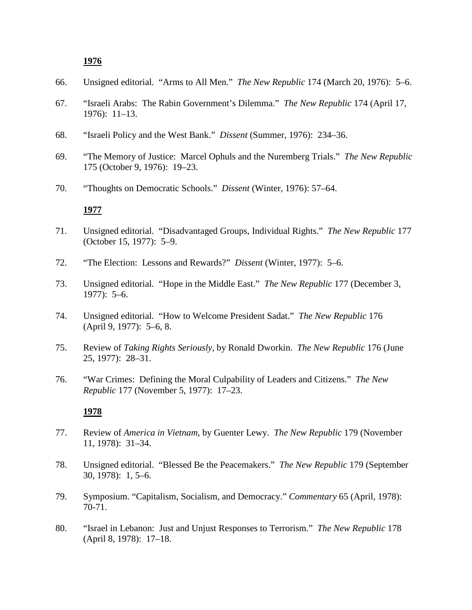- 66. Unsigned editorial. "Arms to All Men." *The New Republic* 174 (March 20, 1976): 5–6.
- 67. "Israeli Arabs: The Rabin Government's Dilemma." *The New Republic* 174 (April 17, 1976): 11–13.
- 68. "Israeli Policy and the West Bank." *Dissent* (Summer, 1976): 234–36.
- 69. "The Memory of Justice: Marcel Ophuls and the Nuremberg Trials." *The New Republic* 175 (October 9, 1976): 19–23.
- 70. "Thoughts on Democratic Schools." *Dissent* (Winter, 1976): 57–64.

#### **1977**

- 71. Unsigned editorial. "Disadvantaged Groups, Individual Rights." *The New Republic* 177 (October 15, 1977): 5–9.
- 72. "The Election: Lessons and Rewards?" *Dissent* (Winter, 1977): 5–6.
- 73. Unsigned editorial. "Hope in the Middle East." *The New Republic* 177 (December 3, 1977): 5–6.
- 74. Unsigned editorial. "How to Welcome President Sadat." *The New Republic* 176 (April 9, 1977): 5–6, 8.
- 75. Review of *Taking Rights Seriously*, by Ronald Dworkin. *The New Republic* 176 (June 25, 1977): 28–31.
- 76. "War Crimes: Defining the Moral Culpability of Leaders and Citizens." *The New Republic* 177 (November 5, 1977): 17–23.

- 77. Review of *America in Vietnam*, by Guenter Lewy. *The New Republic* 179 (November 11, 1978): 31–34.
- 78. Unsigned editorial. "Blessed Be the Peacemakers." *The New Republic* 179 (September 30, 1978): 1, 5–6.
- 79. Symposium. "Capitalism, Socialism, and Democracy." *Commentary* 65 (April, 1978): 70-71.
- 80. "Israel in Lebanon: Just and Unjust Responses to Terrorism." *The New Republic* 178 (April 8, 1978): 17–18.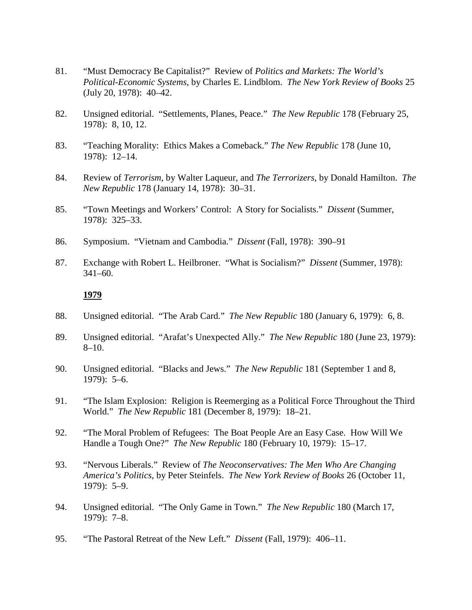- 81. "Must Democracy Be Capitalist?" Review of *Politics and Markets: The World's Political-Economic Systems*, by Charles E. Lindblom. *The New York Review of Books* 25 (July 20, 1978): 40–42.
- 82. Unsigned editorial. "Settlements, Planes, Peace." *The New Republic* 178 (February 25, 1978): 8, 10, 12.
- 83. "Teaching Morality: Ethics Makes a Comeback." *The New Republic* 178 (June 10, 1978): 12–14.
- 84. Review of *Terrorism*, by Walter Laqueur, and *The Terrorizers*, by Donald Hamilton. *The New Republic* 178 (January 14, 1978): 30–31.
- 85. "Town Meetings and Workers' Control: A Story for Socialists." *Dissent* (Summer, 1978): 325–33.
- 86. Symposium. "Vietnam and Cambodia." *Dissent* (Fall, 1978): 390–91
- 87. Exchange with Robert L. Heilbroner. "What is Socialism?" *Dissent* (Summer, 1978):  $341-60.$

- 88. Unsigned editorial. "The Arab Card." *The New Republic* 180 (January 6, 1979): 6, 8.
- 89. Unsigned editorial. "Arafat's Unexpected Ally." *The New Republic* 180 (June 23, 1979): 8–10.
- 90. Unsigned editorial. "Blacks and Jews." *The New Republic* 181 (September 1 and 8, 1979): 5–6.
- 91. "The Islam Explosion: Religion is Reemerging as a Political Force Throughout the Third World." *The New Republic* 181 (December 8, 1979): 18–21.
- 92. "The Moral Problem of Refugees: The Boat People Are an Easy Case. How Will We Handle a Tough One?" *The New Republic* 180 (February 10, 1979): 15–17.
- 93. "Nervous Liberals." Review of *The Neoconservatives: The Men Who Are Changing America's Politics*, by Peter Steinfels. *The New York Review of Books* 26 (October 11, 1979): 5–9.
- 94. Unsigned editorial. "The Only Game in Town." *The New Republic* 180 (March 17, 1979): 7–8.
- 95. "The Pastoral Retreat of the New Left." *Dissent* (Fall, 1979): 406–11.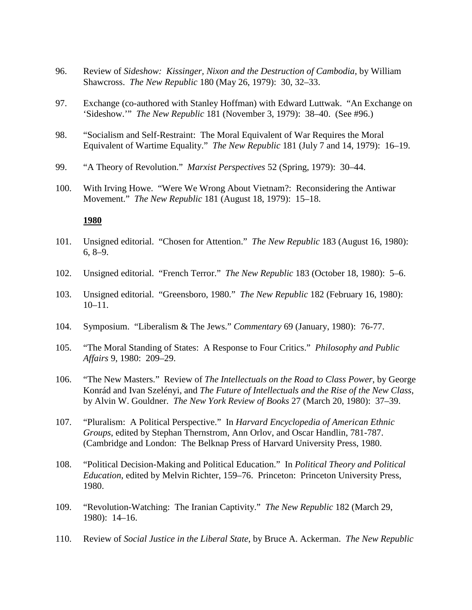- 96. Review of *Sideshow: Kissinger, Nixon and the Destruction of Cambodia*, by William Shawcross. *The New Republic* 180 (May 26, 1979): 30, 32–33.
- 97. Exchange (co-authored with Stanley Hoffman) with Edward Luttwak. "An Exchange on 'Sideshow.'" *The New Republic* 181 (November 3, 1979): 38–40. (See #96.)
- 98. "Socialism and Self-Restraint: The Moral Equivalent of War Requires the Moral Equivalent of Wartime Equality." *The New Republic* 181 (July 7 and 14, 1979): 16–19.
- 99. "A Theory of Revolution." *Marxist Perspectives* 52 (Spring, 1979): 30–44.
- 100. With Irving Howe. "Were We Wrong About Vietnam?: Reconsidering the Antiwar Movement." *The New Republic* 181 (August 18, 1979): 15–18.

- 101. Unsigned editorial. "Chosen for Attention." *The New Republic* 183 (August 16, 1980): 6, 8–9.
- 102. Unsigned editorial. "French Terror." *The New Republic* 183 (October 18, 1980): 5–6.
- 103. Unsigned editorial. "Greensboro, 1980." *The New Republic* 182 (February 16, 1980): 10–11.
- 104. Symposium. "Liberalism & The Jews." *Commentary* 69 (January, 1980): 76-77.
- 105. "The Moral Standing of States: A Response to Four Critics." *Philosophy and Public Affairs* 9, 1980: 209–29.
- 106. "The New Masters." Review of *The Intellectuals on the Road to Class Power*, by George Konrád and Ivan Szelényi, and *The Future of Intellectuals and the Rise of the New Class*, by Alvin W. Gouldner. *The New York Review of Books* 27 (March 20, 1980): 37–39.
- 107. "Pluralism: A Political Perspective." In *Harvard Encyclopedia of American Ethnic Groups*, edited by Stephan Thernstrom, Ann Orlov, and Oscar Handlin, 781-787. (Cambridge and London: The Belknap Press of Harvard University Press, 1980.
- 108. "Political Decision-Making and Political Education." In *Political Theory and Political Education*, edited by Melvin Richter, 159–76. Princeton: Princeton University Press, 1980.
- 109. "Revolution-Watching: The Iranian Captivity." *The New Republic* 182 (March 29, 1980): 14–16.
- 110. Review of *Social Justice in the Liberal State*, by Bruce A. Ackerman. *The New Republic*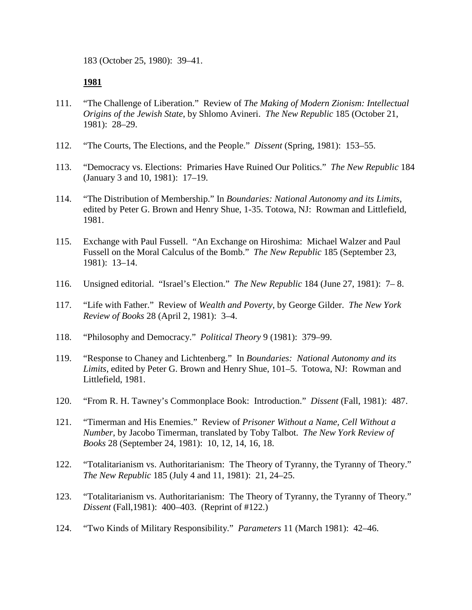183 (October 25, 1980): 39–41.

- 111. "The Challenge of Liberation." Review of *The Making of Modern Zionism: Intellectual Origins of the Jewish State*, by Shlomo Avineri. *The New Republic* 185 (October 21, 1981): 28–29.
- 112. "The Courts, The Elections, and the People." *Dissent* (Spring, 1981): 153–55.
- 113. "Democracy vs. Elections: Primaries Have Ruined Our Politics." *The New Republic* 184 (January 3 and 10, 1981): 17–19.
- 114. "The Distribution of Membership." In *Boundaries: National Autonomy and its Limits*, edited by Peter G. Brown and Henry Shue, 1-35. Totowa, NJ: Rowman and Littlefield, 1981.
- 115. Exchange with Paul Fussell. "An Exchange on Hiroshima: Michael Walzer and Paul Fussell on the Moral Calculus of the Bomb." *The New Republic* 185 (September 23, 1981): 13–14.
- 116. Unsigned editorial. "Israel's Election." *The New Republic* 184 (June 27, 1981): 7– 8.
- 117. "Life with Father." Review of *Wealth and Poverty*, by George Gilder. *The New York Review of Books* 28 (April 2, 1981): 3–4.
- 118. "Philosophy and Democracy." *Political Theory* 9 (1981): 379–99.
- 119. "Response to Chaney and Lichtenberg." In *Boundaries: National Autonomy and its Limits*, edited by Peter G. Brown and Henry Shue, 101–5. Totowa, NJ: Rowman and Littlefield, 1981.
- 120. "From R. H. Tawney's Commonplace Book: Introduction." *Dissent* (Fall, 1981): 487.
- 121. "Timerman and His Enemies." Review of *Prisoner Without a Name, Cell Without a Number*, by Jacobo Timerman, translated by Toby Talbot. *The New York Review of Books* 28 (September 24, 1981): 10, 12, 14, 16, 18.
- 122. "Totalitarianism vs. Authoritarianism: The Theory of Tyranny, the Tyranny of Theory." *The New Republic* 185 (July 4 and 11, 1981): 21, 24–25.
- 123. "Totalitarianism vs. Authoritarianism: The Theory of Tyranny, the Tyranny of Theory." *Dissent* (Fall,1981): 400–403. (Reprint of #122.)
- 124. "Two Kinds of Military Responsibility." *Parameters* 11 (March 1981): 42–46.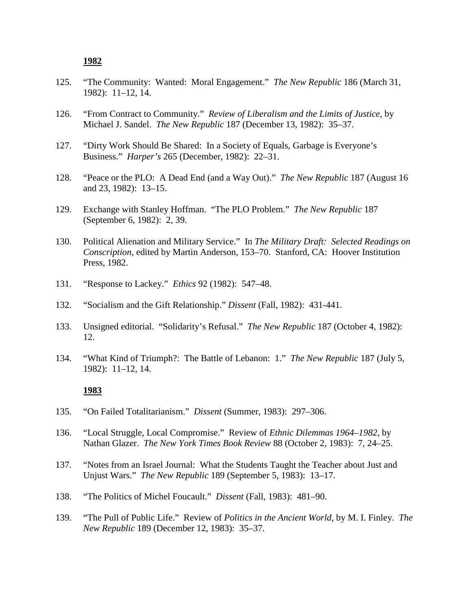- 125. "The Community: Wanted: Moral Engagement." *The New Republic* 186 (March 31, 1982): 11–12, 14.
- 126. "From Contract to Community." *Review of Liberalism and the Limits of Justice*, by Michael J. Sandel. *The New Republic* 187 (December 13, 1982): 35–37.
- 127. "Dirty Work Should Be Shared: In a Society of Equals, Garbage is Everyone's Business." *Harper's* 265 (December, 1982): 22–31.
- 128. "Peace or the PLO: A Dead End (and a Way Out)." *The New Republic* 187 (August 16 and 23, 1982): 13–15.
- 129. Exchange with Stanley Hoffman. "The PLO Problem." *The New Republic* 187 (September 6, 1982): 2, 39.
- 130. Political Alienation and Military Service." In *The Military Draft: Selected Readings on Conscription*, edited by Martin Anderson, 153–70. Stanford, CA: Hoover Institution Press, 1982.
- 131. "Response to Lackey." *Ethics* 92 (1982): 547–48.
- 132. "Socialism and the Gift Relationship." *Dissent* (Fall, 1982): 431-441.
- 133. Unsigned editorial. "Solidarity's Refusal." *The New Republic* 187 (October 4, 1982): 12.
- 134. "What Kind of Triumph?: The Battle of Lebanon: 1." *The New Republic* 187 (July 5, 1982): 11–12, 14.

- 135. "On Failed Totalitarianism." *Dissent* (Summer, 1983): 297–306.
- 136. "Local Struggle, Local Compromise." Review of *Ethnic Dilemmas 1964–1982*, by Nathan Glazer. *The New York Times Book Review* 88 (October 2, 1983): 7, 24–25.
- 137. "Notes from an Israel Journal: What the Students Taught the Teacher about Just and Unjust Wars." *The New Republic* 189 (September 5, 1983): 13–17.
- 138. "The Politics of Michel Foucault." *Dissent* (Fall, 1983): 481–90.
- 139. "The Pull of Public Life." Review of *Politics in the Ancient World*, by M. I. Finley. *The New Republic* 189 (December 12, 1983): 35–37.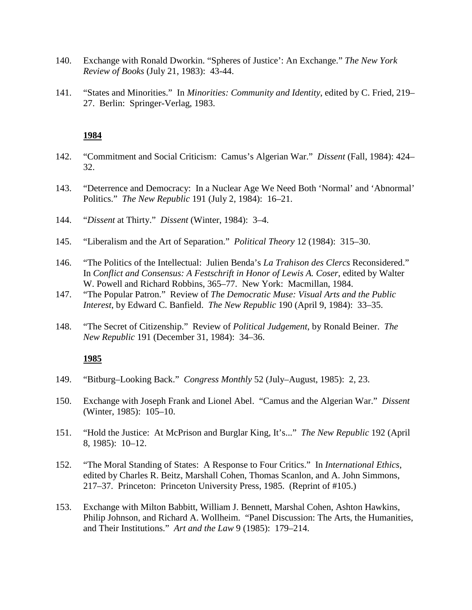- 140. Exchange with Ronald Dworkin. "Spheres of Justice': An Exchange." *The New York Review of Books* (July 21, 1983): 43-44.
- 141. "States and Minorities." In *Minorities: Community and Identity*, edited by C. Fried, 219– 27. Berlin: Springer-Verlag, 1983.

- 142. "Commitment and Social Criticism: Camus's Algerian War." *Dissent* (Fall, 1984): 424– 32.
- 143. "Deterrence and Democracy: In a Nuclear Age We Need Both 'Normal' and 'Abnormal' Politics." *The New Republic* 191 (July 2, 1984): 16–21.
- 144. "*Dissent* at Thirty." *Dissent* (Winter, 1984): 3–4.
- 145. "Liberalism and the Art of Separation." *Political Theory* 12 (1984): 315–30.
- 146. "The Politics of the Intellectual: Julien Benda's *La Trahison des Clercs* Reconsidered." In *Conflict and Consensus: A Festschrift in Honor of Lewis A. Coser*, edited by Walter W. Powell and Richard Robbins, 365–77. New York: Macmillan, 1984.
- 147. "The Popular Patron." Review of *The Democratic Muse: Visual Arts and the Public Interest*, by Edward C. Banfield. *The New Republic* 190 (April 9, 1984): 33–35.
- 148. "The Secret of Citizenship." Review of *Political Judgement*, by Ronald Beiner. *The New Republic* 191 (December 31, 1984): 34–36.

- 149. "Bitburg–Looking Back." *Congress Monthly* 52 (July–August, 1985): 2, 23.
- 150. Exchange with Joseph Frank and Lionel Abel. "Camus and the Algerian War." *Dissent*  (Winter, 1985): 105–10.
- 151. "Hold the Justice: At McPrison and Burglar King, It's..." *The New Republic* 192 (April 8, 1985): 10–12.
- 152. "The Moral Standing of States: A Response to Four Critics." In *International Ethics*, edited by Charles R. Beitz, Marshall Cohen, Thomas Scanlon, and A. John Simmons, 217–37. Princeton: Princeton University Press, 1985. (Reprint of #105.)
- 153. Exchange with Milton Babbitt, William J. Bennett, Marshal Cohen, Ashton Hawkins, Philip Johnson, and Richard A. Wollheim. "Panel Discussion: The Arts, the Humanities, and Their Institutions." *Art and the Law* 9 (1985): 179–214.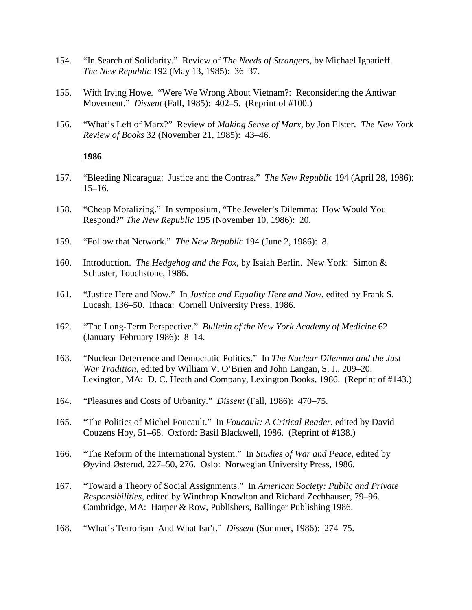- 154. "In Search of Solidarity." Review of *The Needs of Strangers*, by Michael Ignatieff. *The New Republic* 192 (May 13, 1985): 36–37.
- 155. With Irving Howe. "Were We Wrong About Vietnam?: Reconsidering the Antiwar Movement." *Dissent* (Fall, 1985): 402–5. (Reprint of #100.)
- 156. "What's Left of Marx?" Review of *Making Sense of Marx*, by Jon Elster. *The New York Review of Books* 32 (November 21, 1985): 43–46.

- 157. "Bleeding Nicaragua: Justice and the Contras." *The New Republic* 194 (April 28, 1986): 15–16.
- 158. "Cheap Moralizing." In symposium, "The Jeweler's Dilemma: How Would You Respond?" *The New Republic* 195 (November 10, 1986): 20.
- 159. "Follow that Network." *The New Republic* 194 (June 2, 1986): 8.
- 160. Introduction. *The Hedgehog and the Fox*, by Isaiah Berlin. New York: Simon & Schuster, Touchstone, 1986.
- 161. "Justice Here and Now." In *Justice and Equality Here and Now*, edited by Frank S. Lucash, 136–50. Ithaca: Cornell University Press, 1986.
- 162. "The Long-Term Perspective." *Bulletin of the New York Academy of Medicine* 62 (January–February 1986): 8–14.
- 163. "Nuclear Deterrence and Democratic Politics." In *The Nuclear Dilemma and the Just War Tradition*, edited by William V. O'Brien and John Langan, S. J., 209–20. Lexington, MA: D. C. Heath and Company, Lexington Books, 1986. (Reprint of #143.)
- 164. "Pleasures and Costs of Urbanity." *Dissent* (Fall, 1986): 470–75.
- 165. "The Politics of Michel Foucault." In *Foucault: A Critical Reader*, edited by David Couzens Hoy, 51–68. Oxford: Basil Blackwell, 1986. (Reprint of #138.)
- 166. "The Reform of the International System." In *Studies of War and Peace*, edited by Øyvind Østerud, 227–50, 276. Oslo: Norwegian University Press, 1986.
- 167. "Toward a Theory of Social Assignments." In *American Society: Public and Private Responsibilities*, edited by Winthrop Knowlton and Richard Zechhauser, 79–96. Cambridge, MA: Harper & Row, Publishers, Ballinger Publishing 1986.
- 168. "What's Terrorism–And What Isn't." *Dissent* (Summer, 1986): 274–75.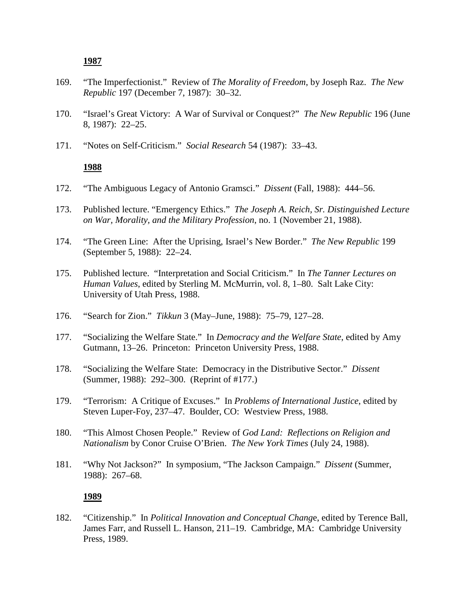- 169. "The Imperfectionist." Review of *The Morality of Freedom*, by Joseph Raz. *The New Republic* 197 (December 7, 1987): 30–32.
- 170. "Israel's Great Victory: A War of Survival or Conquest?" *The New Republic* 196 (June 8, 1987): 22–25.
- 171. "Notes on Self-Criticism." *Social Research* 54 (1987): 33–43.

## **1988**

- 172. "The Ambiguous Legacy of Antonio Gramsci." *Dissent* (Fall, 1988): 444–56.
- 173. Published lecture. "Emergency Ethics." *The Joseph A. Reich, Sr. Distinguished Lecture on War, Morality, and the Military Profession*, no. 1 (November 21, 1988).
- 174. "The Green Line: After the Uprising, Israel's New Border." *The New Republic* 199 (September 5, 1988): 22–24.
- 175. Published lecture. "Interpretation and Social Criticism."In *The Tanner Lectures on Human Values*, edited by Sterling M. McMurrin, vol. 8, 1–80. Salt Lake City: University of Utah Press, 1988.
- 176. "Search for Zion." *Tikkun* 3 (May–June, 1988): 75–79, 127–28.
- 177. "Socializing the Welfare State." In *Democracy and the Welfare State*, edited by Amy Gutmann, 13–26. Princeton: Princeton University Press, 1988.
- 178. "Socializing the Welfare State: Democracy in the Distributive Sector." *Dissent*  (Summer, 1988): 292–300. (Reprint of #177.)
- 179. "Terrorism: A Critique of Excuses." In *Problems of International Justice*, edited by Steven Luper-Foy, 237–47. Boulder, CO: Westview Press, 1988.
- 180. "This Almost Chosen People." Review of *God Land: Reflections on Religion and Nationalism* by Conor Cruise O'Brien. *The New York Times* (July 24, 1988).
- 181. "Why Not Jackson?" In symposium, "The Jackson Campaign." *Dissent* (Summer, 1988): 267–68.

### **1989**

182. "Citizenship." In *Political Innovation and Conceptual Chang*e, edited by Terence Ball, James Farr, and Russell L. Hanson, 211–19. Cambridge, MA: Cambridge University Press, 1989.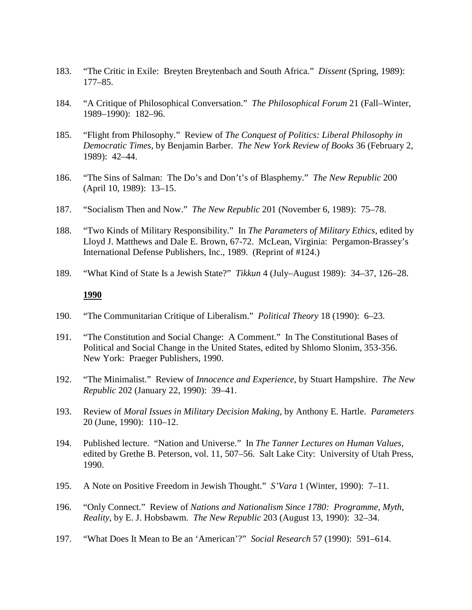- 183. "The Critic in Exile: Breyten Breytenbach and South Africa." *Dissent* (Spring, 1989): 177–85.
- 184. "A Critique of Philosophical Conversation." *The Philosophical Forum* 21 (Fall–Winter, 1989–1990): 182–96.
- 185. "Flight from Philosophy." Review of *The Conquest of Politics: Liberal Philosophy in Democratic Times*, by Benjamin Barber. *The New York Review of Books* 36 (February 2, 1989): 42–44.
- 186. "The Sins of Salman: The Do's and Don't's of Blasphemy." *The New Republic* 200 (April 10, 1989): 13–15.
- 187. "Socialism Then and Now." *The New Republic* 201 (November 6, 1989): 75–78.
- 188. "Two Kinds of Military Responsibility." In *The Parameters of Military Ethics*, edited by Lloyd J. Matthews and Dale E. Brown, 67-72. McLean, Virginia: Pergamon-Brassey's International Defense Publishers, Inc., 1989. (Reprint of #124.)
- 189. "What Kind of State Is a Jewish State?" *Tikkun* 4 (July–August 1989): 34–37, 126–28.

- 190. "The Communitarian Critique of Liberalism." *Political Theory* 18 (1990): 6–23.
- 191. "The Constitution and Social Change: A Comment." In The Constitutional Bases of Political and Social Change in the United States, edited by Shlomo Slonim, 353-356. New York: Praeger Publishers, 1990.
- 192. "The Minimalist." Review of *Innocence and Experience*, by Stuart Hampshire. *The New Republic* 202 (January 22, 1990): 39–41.
- 193. Review of *Moral Issues in Military Decision Making*, by Anthony E. Hartle. *Parameters* 20 (June, 1990): 110–12.
- 194. Published lecture. "Nation and Universe." In *The Tanner Lectures on Human Values*, edited by Grethe B. Peterson, vol. 11, 507–56. Salt Lake City: University of Utah Press, 1990.
- 195. A Note on Positive Freedom in Jewish Thought." *S'Vara* 1 (Winter, 1990): 7–11.
- 196. "Only Connect." Review of *Nations and Nationalism Since 1780: Programme, Myth, Reality*, by E. J. Hobsbawm. *The New Republic* 203 (August 13, 1990): 32–34.
- 197. "What Does It Mean to Be an 'American'?" *Social Research* 57 (1990): 591–614.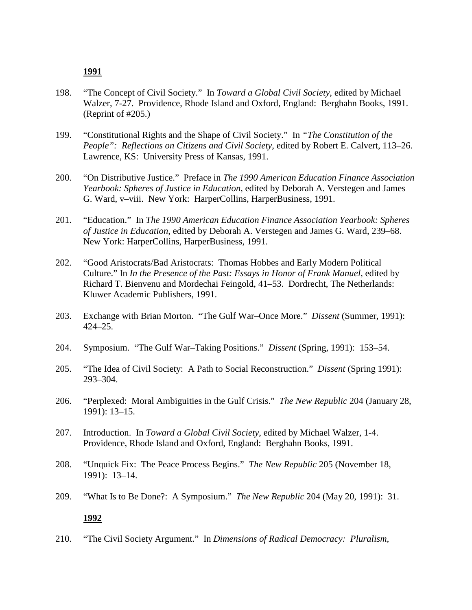- 198. "The Concept of Civil Society." In *Toward a Global Civil Society*, edited by Michael Walzer, 7-27. Providence, Rhode Island and Oxford, England: Berghahn Books, 1991. (Reprint of #205.)
- 199. "Constitutional Rights and the Shape of Civil Society." In *"The Constitution of the People": Reflections on Citizens and Civil Society*, edited by Robert E. Calvert, 113–26. Lawrence, KS: University Press of Kansas, 1991.
- 200. "On Distributive Justice." Preface in *The 1990 American Education Finance Association Yearbook: Spheres of Justice in Education*, edited by Deborah A. Verstegen and James G. Ward, v–viii. New York: HarperCollins, HarperBusiness, 1991.
- 201. "Education." In *The 1990 American Education Finance Association Yearbook: Spheres of Justice in Education*, edited by Deborah A. Verstegen and James G. Ward, 239–68. New York: HarperCollins, HarperBusiness, 1991.
- 202. "Good Aristocrats/Bad Aristocrats: Thomas Hobbes and Early Modern Political Culture." In *In the Presence of the Past: Essays in Honor of Frank Manuel*, edited by Richard T. Bienvenu and Mordechai Feingold, 41–53. Dordrecht, The Netherlands: Kluwer Academic Publishers, 1991.
- 203. Exchange with Brian Morton. "The Gulf War–Once More." *Dissent* (Summer, 1991): 424–25.
- 204. Symposium. "The Gulf War–Taking Positions." *Dissent* (Spring, 1991): 153–54.
- 205. "The Idea of Civil Society: A Path to Social Reconstruction." *Dissent* (Spring 1991): 293–304.
- 206. "Perplexed: Moral Ambiguities in the Gulf Crisis." *The New Republic* 204 (January 28, 1991): 13–15.
- 207. Introduction. In *Toward a Global Civil Society*, edited by Michael Walzer, 1-4. Providence, Rhode Island and Oxford, England: Berghahn Books, 1991.
- 208. "Unquick Fix: The Peace Process Begins." *The New Republic* 205 (November 18, 1991): 13–14.
- 209. "What Is to Be Done?: A Symposium." *The New Republic* 204 (May 20, 1991): 31.

#### **1992**

210. "The Civil Society Argument." In *Dimensions of Radical Democracy: Pluralism,*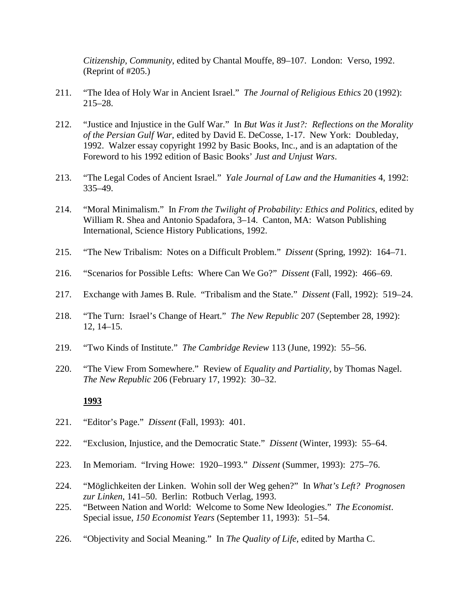*Citizenship, Community*, edited by Chantal Mouffe, 89–107. London: Verso, 1992. (Reprint of #205.)

- 211. "The Idea of Holy War in Ancient Israel." *The Journal of Religious Ethics* 20 (1992): 215–28.
- 212. "Justice and Injustice in the Gulf War." In *But Was it Just?: Reflections on the Morality of the Persian Gulf War*, edited by David E. DeCosse, 1-17. New York: Doubleday, 1992. Walzer essay copyright 1992 by Basic Books, Inc., and is an adaptation of the Foreword to his 1992 edition of Basic Books' *Just and Unjust Wars*.
- 213. "The Legal Codes of Ancient Israel." *Yale Journal of Law and the Humanities* 4, 1992: 335–49.
- 214. "Moral Minimalism." In *From the Twilight of Probability: Ethics and Politics*, edited by William R. Shea and Antonio Spadafora, 3–14. Canton, MA: Watson Publishing International, Science History Publications, 1992.
- 215. "The New Tribalism: Notes on a Difficult Problem." *Dissent* (Spring, 1992): 164–71.
- 216. "Scenarios for Possible Lefts: Where Can We Go?" *Dissent* (Fall, 1992): 466–69.
- 217. Exchange with James B. Rule. "Tribalism and the State." *Dissent* (Fall, 1992): 519–24.
- 218. "The Turn: Israel's Change of Heart." *The New Republic* 207 (September 28, 1992): 12, 14–15.
- 219. "Two Kinds of Institute." *The Cambridge Review* 113 (June, 1992): 55–56.
- 220. "The View From Somewhere." Review of *Equality and Partiality*, by Thomas Nagel. *The New Republic* 206 (February 17, 1992): 30–32.

- 221. "Editor's Page." *Dissent* (Fall, 1993): 401.
- 222. "Exclusion, Injustice, and the Democratic State." *Dissent* (Winter, 1993): 55–64.
- 223. In Memoriam. "Irving Howe: 1920–1993." *Dissent* (Summer, 1993): 275–76.
- 224. "Möglichkeiten der Linken. Wohin soll der Weg gehen?" In *What's Left? Prognosen zur Linken*, 141–50. Berlin: Rotbuch Verlag, 1993.
- 225. "Between Nation and World: Welcome to Some New Ideologies." *The Economist*. Special issue, *150 Economist Years* (September 11, 1993): 51–54.
- 226. "Objectivity and Social Meaning." In *The Quality of Life*, edited by Martha C.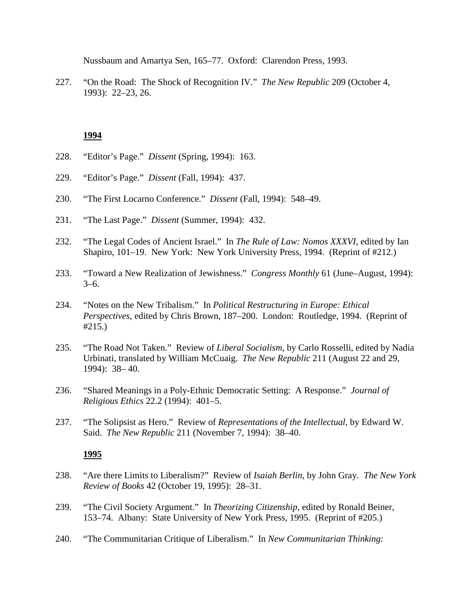Nussbaum and Amartya Sen, 165–77. Oxford: Clarendon Press, 1993.

227. "On the Road: The Shock of Recognition IV." *The New Republic* 209 (October 4, 1993): 22–23, 26.

# **1994**

- 228. "Editor's Page." *Dissent* (Spring, 1994): 163.
- 229. "Editor's Page." *Dissent* (Fall, 1994): 437.
- 230. "The First Locarno Conference." *Dissent* (Fall, 1994): 548–49.
- 231. "The Last Page." *Dissent* (Summer, 1994): 432.
- 232. "The Legal Codes of Ancient Israel." In *The Rule of Law: Nomos XXXVI*, edited by Ian Shapiro, 101–19. New York: New York University Press, 1994. (Reprint of #212.)
- 233. "Toward a New Realization of Jewishness." *Congress Monthly* 61 (June–August, 1994):  $3-6.$
- 234. "Notes on the New Tribalism." In *Political Restructuring in Europe: Ethical Perspectives*, edited by Chris Brown, 187–200. London: Routledge, 1994. (Reprint of #215.)
- 235. "The Road Not Taken." Review of *Liberal Socialism*, by Carlo Rosselli, edited by Nadia Urbinati, translated by William McCuaig. *The New Republic* 211 (August 22 and 29, 1994): 38– 40.
- 236. "Shared Meanings in a Poly-Ethnic Democratic Setting: A Response." *Journal of Religious Ethics* 22.2 (1994): 401–5.
- 237. "The Solipsist as Hero." Review of *Representations of the Intellectual*, by Edward W. Said. *The New Republic* 211 (November 7, 1994): 38–40.

- 238. "Are there Limits to Liberalism?" Review of *Isaiah Berlin*, by John Gray. *The New York Review of Books* 42 (October 19, 1995): 28–31.
- 239. "The Civil Society Argument." In *Theorizing Citizenship*, edited by Ronald Beiner, 153–74. Albany: State University of New York Press, 1995. (Reprint of #205.)
- 240. "The Communitarian Critique of Liberalism." In *New Communitarian Thinking:*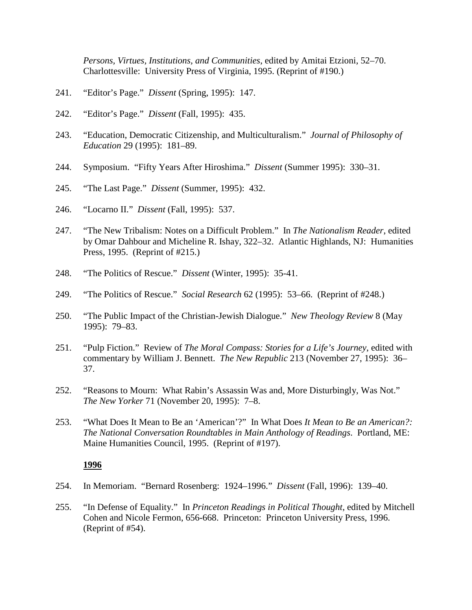*Persons, Virtues, Institutions, and Communities*, edited by Amitai Etzioni, 52–70. Charlottesville: University Press of Virginia, 1995. (Reprint of #190.)

- 241. "Editor's Page." *Dissent* (Spring, 1995): 147.
- 242. "Editor's Page." *Dissent* (Fall, 1995): 435.
- 243. "Education, Democratic Citizenship, and Multiculturalism." *Journal of Philosophy of Education* 29 (1995): 181–89.
- 244. Symposium. "Fifty Years After Hiroshima." *Dissent* (Summer 1995): 330–31.
- 245. "The Last Page." *Dissent* (Summer, 1995): 432.
- 246. "Locarno II." *Dissent* (Fall, 1995): 537.
- 247. "The New Tribalism: Notes on a Difficult Problem." In *The Nationalism Reader*, edited by Omar Dahbour and Micheline R. Ishay, 322–32. Atlantic Highlands, NJ: Humanities Press, 1995. (Reprint of #215.)
- 248. "The Politics of Rescue." *Dissent* (Winter, 1995): 35-41.
- 249. "The Politics of Rescue." *Social Research* 62 (1995): 53–66. (Reprint of #248.)
- 250. "The Public Impact of the Christian-Jewish Dialogue." *New Theology Review* 8 (May 1995): 79–83.
- 251. "Pulp Fiction." Review of *The Moral Compass: Stories for a Life's Journey*, edited with commentary by William J. Bennett. *The New Republic* 213 (November 27, 1995): 36– 37.
- 252. "Reasons to Mourn: What Rabin's Assassin Was and, More Disturbingly, Was Not." *The New Yorker* 71 (November 20, 1995): 7–8.
- 253. "What Does It Mean to Be an 'American'?" In What Does *It Mean to Be an American?: The National Conversation Roundtables in Main Anthology of Readings*. Portland, ME: Maine Humanities Council, 1995. (Reprint of #197).

- 254. In Memoriam. "Bernard Rosenberg: 1924–1996." *Dissent* (Fall, 1996): 139–40.
- 255. "In Defense of Equality." In *Princeton Readings in Political Thought*, edited by Mitchell Cohen and Nicole Fermon, 656-668. Princeton: Princeton University Press, 1996. (Reprint of #54).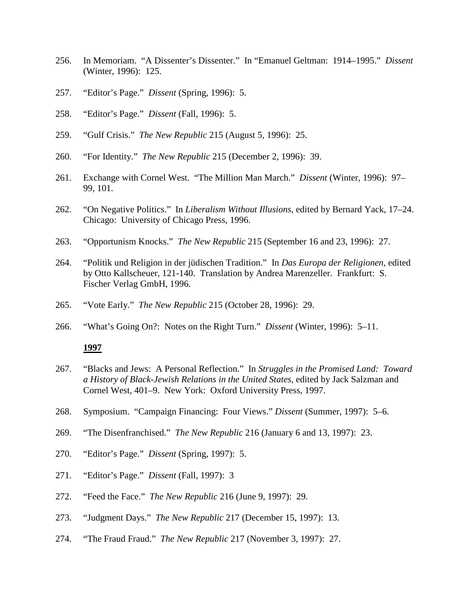- 256. In Memoriam. "A Dissenter's Dissenter." In "Emanuel Geltman: 1914–1995." *Dissent*  (Winter, 1996): 125.
- 257. "Editor's Page." *Dissent* (Spring, 1996): 5.
- 258. "Editor's Page." *Dissent* (Fall, 1996): 5.
- 259. "Gulf Crisis." *The New Republic* 215 (August 5, 1996): 25.
- 260. "For Identity." *The New Republic* 215 (December 2, 1996): 39.
- 261. Exchange with Cornel West. "The Million Man March." *Dissent* (Winter, 1996): 97– 99, 101.
- 262. "On Negative Politics." In *Liberalism Without Illusions*, edited by Bernard Yack, 17–24. Chicago: University of Chicago Press, 1996.
- 263. "Opportunism Knocks." *The New Republic* 215 (September 16 and 23, 1996): 27.
- 264. "Politik und Religion in der jüdischen Tradition." In *Das Europa der Religionen*, edited by Otto Kallscheuer, 121-140. Translation by Andrea Marenzeller. Frankfurt: S. Fischer Verlag GmbH, 1996.
- 265. "Vote Early." *The New Republic* 215 (October 28, 1996): 29.
- 266. "What's Going On?: Notes on the Right Turn." *Dissent* (Winter, 1996): 5–11.

- 267. "Blacks and Jews: A Personal Reflection." In *Struggles in the Promised Land: Toward a History of Black-Jewish Relations in the United States*, edited by Jack Salzman and Cornel West, 401–9. New York: Oxford University Press, 1997.
- 268. Symposium. "Campaign Financing: Four Views." *Dissent* (Summer, 1997): 5–6.
- 269. "The Disenfranchised." *The New Republic* 216 (January 6 and 13, 1997): 23.
- 270. "Editor's Page." *Dissent* (Spring, 1997): 5.
- 271. "Editor's Page." *Dissent* (Fall, 1997): 3
- 272. "Feed the Face." *The New Republic* 216 (June 9, 1997): 29.
- 273. "Judgment Days." *The New Republic* 217 (December 15, 1997): 13.
- 274. "The Fraud Fraud." *The New Republic* 217 (November 3, 1997): 27.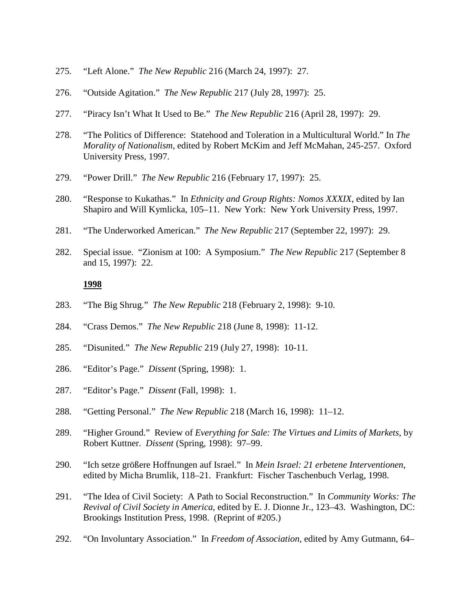- 275. "Left Alone." *The New Republic* 216 (March 24, 1997): 27.
- 276. "Outside Agitation." *The New Republi*c 217 (July 28, 1997): 25.
- 277. "Piracy Isn't What It Used to Be." *The New Republic* 216 (April 28, 1997): 29.
- 278. "The Politics of Difference: Statehood and Toleration in a Multicultural World." In *The Morality of Nationalism*, edited by Robert McKim and Jeff McMahan, 245-257. Oxford University Press, 1997.
- 279. "Power Drill." *The New Republic* 216 (February 17, 1997): 25.
- 280. "Response to Kukathas." In *Ethnicity and Group Rights: Nomos XXXIX*, edited by Ian Shapiro and Will Kymlicka, 105–11. New York: New York University Press, 1997.
- 281. "The Underworked American." *The New Republic* 217 (September 22, 1997): 29.
- 282. Special issue. "Zionism at 100: A Symposium." *The New Republic* 217 (September 8 and 15, 1997): 22.

- 283. "The Big Shrug." *The New Republic* 218 (February 2, 1998): 9-10.
- 284. "Crass Demos." *The New Republic* 218 (June 8, 1998): 11-12.
- 285. "Disunited." *The New Republic* 219 (July 27, 1998): 10-11.
- 286. "Editor's Page." *Dissent* (Spring, 1998): 1.
- 287. "Editor's Page." *Dissent* (Fall, 1998): 1.
- 288. "Getting Personal." *The New Republic* 218 (March 16, 1998): 11–12.
- 289. "Higher Ground." Review of *Everything for Sale: The Virtues and Limits of Markets*, by Robert Kuttner. *Dissent* (Spring, 1998): 97–99.
- 290. "Ich setze größere Hoffnungen auf Israel." In *Mein Israel: 21 erbetene Interventionen*, edited by Micha Brumlik, 118–21. Frankfurt: Fischer Taschenbuch Verlag, 1998.
- 291. "The Idea of Civil Society: A Path to Social Reconstruction." In *Community Works: The Revival of Civil Society in America*, edited by E. J. Dionne Jr., 123–43. Washington, DC: Brookings Institution Press, 1998. (Reprint of #205.)
- 292. "On Involuntary Association." In *Freedom of Association*, edited by Amy Gutmann, 64–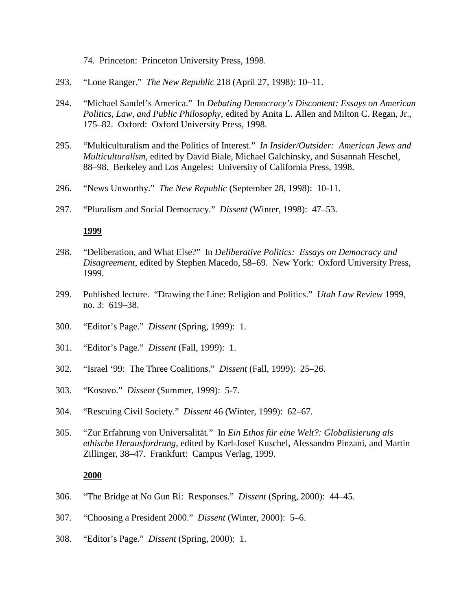74. Princeton: Princeton University Press, 1998.

- 293. "Lone Ranger." *The New Republic* 218 (April 27, 1998): 10–11.
- 294. "Michael Sandel's America." In *Debating Democracy's Discontent: Essays on American Politics, Law, and Public Philosophy*, edited by Anita L. Allen and Milton C. Regan, Jr., 175–82. Oxford: Oxford University Press, 1998.
- 295. "Multiculturalism and the Politics of Interest." *In Insider/Outsider: American Jews and Multiculturalism*, edited by David Biale, Michael Galchinsky, and Susannah Heschel, 88–98. Berkeley and Los Angeles: University of California Press, 1998.
- 296. "News Unworthy." *The New Republic* (September 28, 1998): 10-11.
- 297. "Pluralism and Social Democracy." *Dissent* (Winter, 1998): 47–53.

#### **1999**

- 298. "Deliberation, and What Else?" In *Deliberative Politics: Essays on Democracy and Disagreement*, edited by Stephen Macedo, 58–69. New York: Oxford University Press, 1999.
- 299. Published lecture. "Drawing the Line: Religion and Politics." *Utah Law Review* 1999, no. 3: 619–38.
- 300. "Editor's Page." *Dissent* (Spring, 1999): 1.
- 301. "Editor's Page." *Dissent* (Fall, 1999): 1.
- 302. "Israel '99: The Three Coalitions." *Dissent* (Fall, 1999): 25–26.
- 303. "Kosovo." *Dissent* (Summer, 1999): 5-7.
- 304. "Rescuing Civil Society." *Dissent* 46 (Winter, 1999): 62–67.
- 305. "Zur Erfahrung von Universalität." In *Ein Ethos für eine Welt?: Globalisierung als ethische Herausfordrung*, edited by Karl-Josef Kuschel, Alessandro Pinzani, and Martin Zillinger, 38–47. Frankfurt: Campus Verlag, 1999.

- 306. "The Bridge at No Gun Ri: Responses." *Dissent* (Spring, 2000): 44–45.
- 307. "Choosing a President 2000." *Dissent* (Winter, 2000): 5–6.
- 308. "Editor's Page." *Dissent* (Spring, 2000): 1.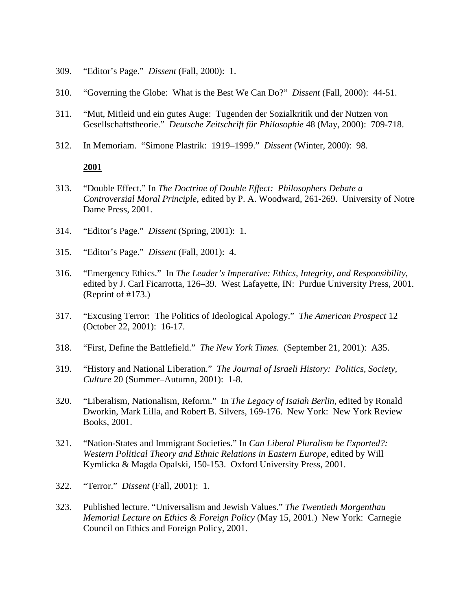- 309. "Editor's Page." *Dissent* (Fall, 2000): 1.
- 310. "Governing the Globe: What is the Best We Can Do?" *Dissent* (Fall, 2000): 44-51.
- 311. "Mut, Mitleid und ein gutes Auge: Tugenden der Sozialkritik und der Nutzen von Gesellschaftstheorie." *Deutsche Zeitschrift für Philosophie* 48 (May, 2000): 709-718.
- 312. In Memoriam. "Simone Plastrik: 1919–1999." *Dissent* (Winter, 2000): 98.

- 313. "Double Effect." In *The Doctrine of Double Effect: Philosophers Debate a Controversial Moral Principle*, edited by P. A. Woodward, 261-269. University of Notre Dame Press, 2001.
- 314. "Editor's Page." *Dissent* (Spring, 2001): 1.
- 315. "Editor's Page." *Dissent* (Fall, 2001): 4.
- 316. "Emergency Ethics." In *The Leader's Imperative: Ethics, Integrity, and Responsibility*, edited by J. Carl Ficarrotta, 126–39. West Lafayette, IN: Purdue University Press, 2001. (Reprint of #173.)
- 317. "Excusing Terror: The Politics of Ideological Apology." *The American Prospect* 12 (October 22, 2001): 16-17.
- 318. "First, Define the Battlefield." *The New York Times.* (September 21, 2001): A35.
- 319. "History and National Liberation." *The Journal of Israeli History: Politics, Society, Culture* 20 (Summer–Autumn, 2001): 1-8.
- 320. "Liberalism, Nationalism, Reform." In *The Legacy of Isaiah Berlin*, edited by Ronald Dworkin, Mark Lilla, and Robert B. Silvers, 169-176. New York: New York Review Books, 2001.
- 321. "Nation-States and Immigrant Societies." In *Can Liberal Pluralism be Exported?: Western Political Theory and Ethnic Relations in Eastern Europe*, edited by Will Kymlicka & Magda Opalski, 150-153. Oxford University Press, 2001.
- 322. "Terror." *Dissent* (Fall, 2001): 1.
- 323. Published lecture. "Universalism and Jewish Values." *The Twentieth Morgenthau Memorial Lecture on Ethics & Foreign Policy* (May 15, 2001.) New York: Carnegie Council on Ethics and Foreign Policy, 2001.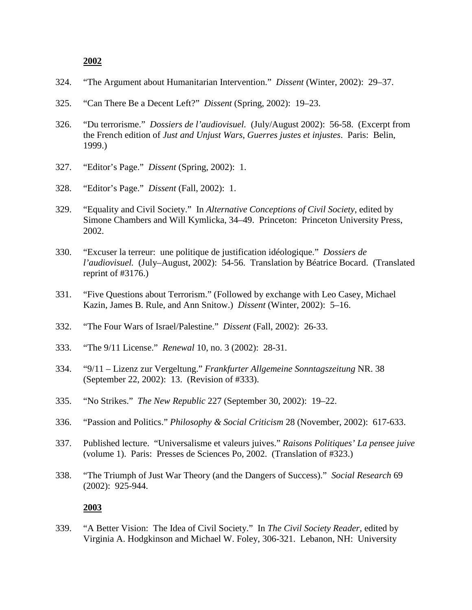- 324. "The Argument about Humanitarian Intervention." *Dissent* (Winter, 2002): 29–37.
- 325. "Can There Be a Decent Left?" *Dissent* (Spring, 2002): 19–23.
- 326. "Du terrorisme." *Dossiers de l'audiovisuel.* (July/August 2002): 56-58. (Excerpt from the French edition of *Just and Unjust Wars*, *Guerres justes et injustes*. Paris: Belin, 1999.)
- 327. "Editor's Page." *Dissent* (Spring, 2002): 1.
- 328. "Editor's Page." *Dissent* (Fall, 2002): 1.
- 329. "Equality and Civil Society." In *Alternative Conceptions of Civil Society*, edited by Simone Chambers and Will Kymlicka, 34–49. Princeton: Princeton University Press, 2002.
- 330. "Excuser la terreur: une politique de justification idéologique." *Dossiers de l'audiovisuel.* (July–August, 2002): 54-56. Translation by Béatrice Bocard. (Translated reprint of #3176.)
- 331. "Five Questions about Terrorism." (Followed by exchange with Leo Casey, Michael Kazin, James B. Rule, and Ann Snitow.) *Dissent* (Winter, 2002): 5–16.
- 332. "The Four Wars of Israel/Palestine." *Dissent* (Fall, 2002): 26-33.
- 333. "The 9/11 License." *Renewal* 10, no. 3 (2002): 28-31.
- 334. "9/11 Lizenz zur Vergeltung." *Frankfurter Allgemeine Sonntagszeitung* NR. 38 (September 22, 2002): 13. (Revision of #333).
- 335. "No Strikes." *The New Republic* 227 (September 30, 2002): 19–22.
- 336. "Passion and Politics." *Philosophy & Social Criticism* 28 (November, 2002): 617-633.
- 337. Published lecture. "Universalisme et valeurs juives." *Raisons Politiques' La pensee juive*  (volume 1). Paris: Presses de Sciences Po, 2002. (Translation of #323.)
- 338. "The Triumph of Just War Theory (and the Dangers of Success)." *Social Research* 69 (2002): 925-944.

**2003**

339. "A Better Vision: The Idea of Civil Society." In *The Civil Society Reader*, edited by Virginia A. Hodgkinson and Michael W. Foley, 306-321. Lebanon, NH: University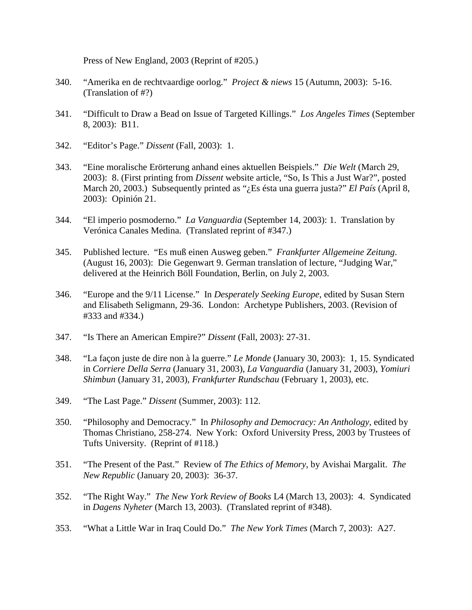Press of New England, 2003 (Reprint of #205.)

- 340. "Amerika en de rechtvaardige oorlog." *Project & niews* 15 (Autumn, 2003): 5-16. (Translation of #?)
- 341. "Difficult to Draw a Bead on Issue of Targeted Killings." *Los Angeles Times* (September 8, 2003): B11.
- 342. "Editor's Page." *Dissent* (Fall, 2003): 1.
- 343. "Eine moralische Erörterung anhand eines aktuellen Beispiels." *Die Welt* (March 29, 2003): 8. (First printing from *Dissent* website article, "So, Is This a Just War?", posted March 20, 2003.) Subsequently printed as "*i*, Es ésta una guerra justa?" *El País* (April 8, 2003): Opinión 21.
- 344. "El imperio posmoderno." *La Vanguardia* (September 14, 2003): 1. Translation by Verónica Canales Medina. (Translated reprint of #347.)
- 345. Published lecture. "Es muß einen Ausweg geben." *Frankfurter Allgemeine Zeitung*. (August 16, 2003): Die Gegenwart 9. German translation of lecture, "Judging War," delivered at the Heinrich Böll Foundation, Berlin, on July 2, 2003.
- 346. "Europe and the 9/11 License." In *Desperately Seeking Europe*, edited by Susan Stern and Elisabeth Seligmann, 29-36. London: Archetype Publishers, 2003. (Revision of #333 and #334.)
- 347. "Is There an American Empire?" *Dissent* (Fall, 2003): 27-31.
- 348. "La façon juste de dire non à la guerre." *Le Monde* (January 30, 2003): 1, 15. Syndicated in *Corriere Della Serra* (January 31, 2003), *La Vanguardia* (January 31, 2003), *Yomiuri Shimbun* (January 31, 2003), *Frankfurter Rundschau* (February 1, 2003), etc.
- 349. "The Last Page." *Dissent* (Summer, 2003): 112.
- 350. "Philosophy and Democracy." In *Philosophy and Democracy: An Anthology*, edited by Thomas Christiano, 258-274. New York: Oxford University Press, 2003 by Trustees of Tufts University. (Reprint of #118.)
- 351. "The Present of the Past." Review of *The Ethics of Memory*, by Avishai Margalit. *The New Republic* (January 20, 2003): 36-37.
- 352. "The Right Way." *The New York Review of Books* L4 (March 13, 2003): 4. Syndicated in *Dagens Nyheter* (March 13, 2003). (Translated reprint of #348).
- 353. "What a Little War in Iraq Could Do." *The New York Times* (March 7, 2003): A27.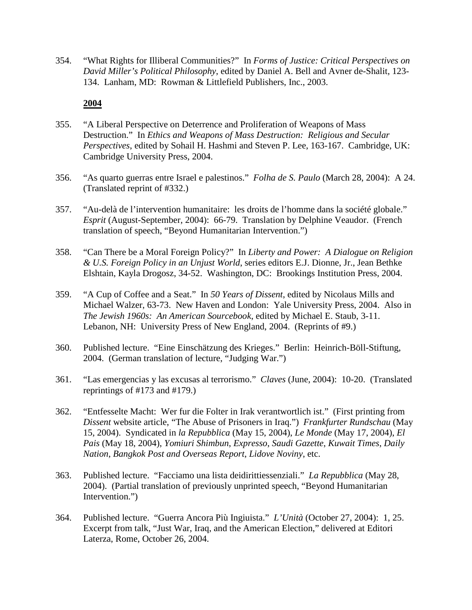354. "What Rights for Illiberal Communities?" In *Forms of Justice: Critical Perspectives on David Miller's Political Philosophy*, edited by Daniel A. Bell and Avner de-Shalit, 123- 134. Lanham, MD: Rowman & Littlefield Publishers, Inc., 2003.

- 355. "A Liberal Perspective on Deterrence and Proliferation of Weapons of Mass Destruction." In *Ethics and Weapons of Mass Destruction: Religious and Secular Perspectives*, edited by Sohail H. Hashmi and Steven P. Lee, 163-167. Cambridge, UK: Cambridge University Press, 2004.
- 356. "As quarto guerras entre Israel e palestinos." *Folha de S. Paulo* (March 28, 2004): A 24. (Translated reprint of #332.)
- 357. "Au-delà de l'intervention humanitaire: les droits de l'homme dans la société globale." *Esprit* (August-September, 2004): 66-79. Translation by Delphine Veaudor. (French translation of speech, "Beyond Humanitarian Intervention.")
- 358. "Can There be a Moral Foreign Policy?" In *Liberty and Power: A Dialogue on Religion & U.S. Foreign Policy in an Unjust World*, series editors E.J. Dionne, Jr., Jean Bethke Elshtain, Kayla Drogosz, 34-52. Washington, DC: Brookings Institution Press, 2004.
- 359. "A Cup of Coffee and a Seat." In *50 Years of Dissent*, edited by Nicolaus Mills and Michael Walzer, 63-73. New Haven and London: Yale University Press, 2004. Also in *The Jewish 1960s: An American Sourcebook*, edited by Michael E. Staub, 3-11. Lebanon, NH: University Press of New England, 2004. (Reprints of #9.)
- 360. Published lecture. "Eine Einschätzung des Krieges." Berlin: Heinrich-Böll-Stiftung, 2004. (German translation of lecture, "Judging War.")
- 361. "Las emergencias y las excusas al terrorismo." *Claves* (June, 2004): 10-20. (Translated reprintings of #173 and #179.)
- 362. "Entfesselte Macht: Wer fur die Folter in Irak verantwortlich ist." (First printing from *Dissent* website article, "The Abuse of Prisoners in Iraq.") *Frankfurter Rundschau* (May 15, 2004). Syndicated in *la Repubblica* (May 15, 2004), *Le Monde* (May 17, 2004), *El Pais* (May 18, 2004), *Yomiuri Shimbun*, *Expresso*, *Saudi Gazette*, *Kuwait Times*, *Daily Nation*, *Bangkok Post and Overseas Report*, *Lidove Noviny*, etc.
- 363. Published lecture. "Facciamo una lista deidirittiessenziali." *La Repubblica* (May 28, 2004). (Partial translation of previously unprinted speech, "Beyond Humanitarian Intervention.")
- 364. Published lecture. "Guerra Ancora Più Ingiuista." *L'Unità* (October 27, 2004): 1, 25. Excerpt from talk, "Just War, Iraq, and the American Election," delivered at Editori Laterza, Rome, October 26, 2004.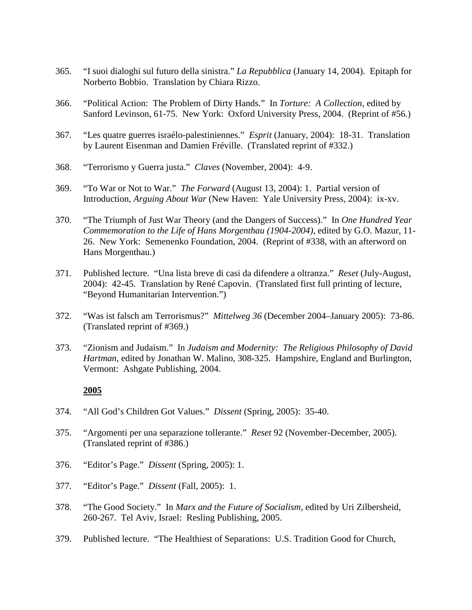- 365. "I suoi dialoghi sul futuro della sinistra." *La Repubblica* (January 14, 2004). Epitaph for Norberto Bobbio. Translation by Chiara Rizzo.
- 366. "Political Action: The Problem of Dirty Hands." In *Torture: A Collection*, edited by Sanford Levinson, 61-75. New York: Oxford University Press, 2004. (Reprint of #56.)
- 367. "Les quatre guerres israélo-palestiniennes." *Esprit* (January, 2004): 18-31. Translation by Laurent Eisenman and Damien Fréville. (Translated reprint of #332.)
- 368. "Terrorismo y Guerra justa." *Claves* (November, 2004): 4-9.
- 369. "To War or Not to War." *The Forward* (August 13, 2004): 1. Partial version of Introduction, *Arguing About War* (New Haven: Yale University Press, 2004): ix-xv.
- 370. "The Triumph of Just War Theory (and the Dangers of Success)." In *One Hundred Year Commemoration to the Life of Hans Morgenthau (1904-2004)*, edited by G.O. Mazur, 11- 26. New York: Semenenko Foundation, 2004. (Reprint of #338, with an afterword on Hans Morgenthau.)
- 371. Published lecture. "Una lista breve di casi da difendere a oltranza." *Reset* (July-August, 2004): 42-45. Translation by René Capovin. (Translated first full printing of lecture, "Beyond Humanitarian Intervention.")
- 372. "Was ist falsch am Terrorismus?" *Mittelweg 36* (December 2004–January 2005): 73-86. (Translated reprint of #369.)
- 373. "Zionism and Judaism." In *Judaism and Modernity: The Religious Philosophy of David Hartman*, edited by Jonathan W. Malino, 308-325. Hampshire, England and Burlington, Vermont: Ashgate Publishing, 2004.

- 374. "All God's Children Got Values." *Dissent* (Spring, 2005): 35-40.
- 375. "Argomenti per una separazione tollerante." *Reset* 92 (November-December, 2005). (Translated reprint of #386.)
- 376. "Editor's Page." *Dissent* (Spring, 2005): 1.
- 377. "Editor's Page." *Dissent* (Fall, 2005): 1.
- 378. "The Good Society." In *Marx and the Future of Socialism*, edited by Uri Zilbersheid, 260-267. Tel Aviv, Israel: Resling Publishing, 2005.
- 379. Published lecture. "The Healthiest of Separations: U.S. Tradition Good for Church,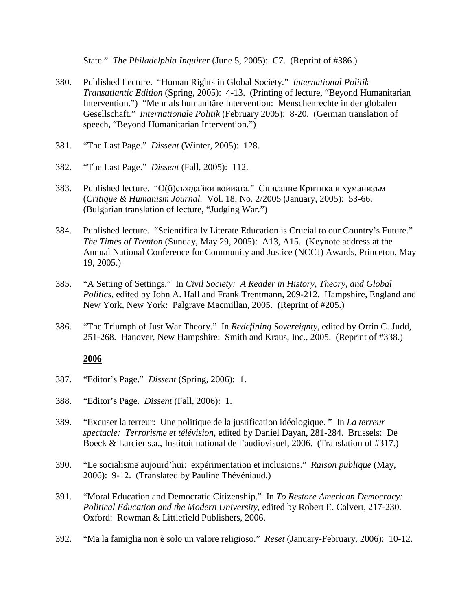State." *The Philadelphia Inquirer* (June 5, 2005): C7. (Reprint of #386.)

- 380. Published Lecture. "Human Rights in Global Society." *International Politik Transatlantic Edition* (Spring, 2005): 4-13. (Printing of lecture, "Beyond Humanitarian Intervention.") "Mehr als humanitäre Intervention: Menschenrechte in der globalen Gesellschaft." *Internationale Politik* (February 2005): 8-20. (German translation of speech, "Beyond Humanitarian Intervention.")
- 381. "The Last Page." *Dissent* (Winter, 2005): 128.
- 382. "The Last Page." *Dissent* (Fall, 2005): 112.
- 383. Published lecture. "O(б)съждайки войиата." Списание Критика и хуманизъм (*Critique & Humanism Journal.* Vol. 18, No. 2/2005 (January, 2005): 53-66. (Bulgarian translation of lecture, "Judging War.")
- 384. Published lecture. "Scientifically Literate Education is Crucial to our Country's Future." *The Times of Trenton* (Sunday, May 29, 2005): A13, A15. (Keynote address at the Annual National Conference for Community and Justice (NCCJ) Awards, Princeton, May 19, 2005.)
- 385. "A Setting of Settings." In *Civil Society: A Reader in History, Theory, and Global Politics*, edited by John A. Hall and Frank Trentmann, 209-212. Hampshire, England and New York, New York: Palgrave Macmillan, 2005. (Reprint of #205.)
- 386. "The Triumph of Just War Theory." In *Redefining Sovereignty*, edited by Orrin C. Judd, 251-268. Hanover, New Hampshire: Smith and Kraus, Inc., 2005. (Reprint of #338.)

- 387. "Editor's Page." *Dissent* (Spring, 2006): 1.
- 388. "Editor's Page. *Dissent* (Fall, 2006): 1.
- 389. "Excuser la terreur: Une politique de la justification idéologique. " In *La terreur spectacle: Terrorisme et télévision*, edited by Daniel Dayan, 281-284. Brussels: De Boeck & Larcier s.a., Instituit national de l'audiovisuel, 2006. (Translation of #317.)
- 390. "Le socialisme aujourd'hui: expérimentation et inclusions." *Raison publique* (May, 2006): 9-12. (Translated by Pauline Thévéniaud.)
- 391. "Moral Education and Democratic Citizenship." In *To Restore American Democracy: Political Education and the Modern University*, edited by Robert E. Calvert, 217-230. Oxford: Rowman & Littlefield Publishers, 2006.
- 392. "Ma la famiglia non è solo un valore religioso." *Reset* (January-February, 2006): 10-12.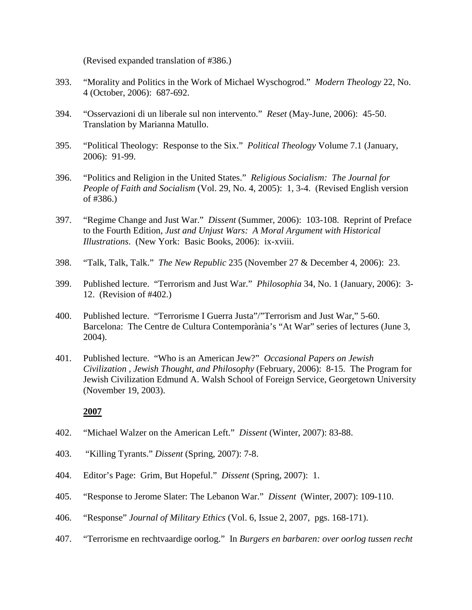(Revised expanded translation of #386.)

- 393. "Morality and Politics in the Work of Michael Wyschogrod." *Modern Theology* 22, No. 4 (October, 2006): 687-692.
- 394. "Osservazioni di un liberale sul non intervento." *Reset* (May-June, 2006): 45-50. Translation by Marianna Matullo.
- 395. "Political Theology: Response to the Six." *Political Theology* Volume 7.1 (January, 2006): 91-99.
- 396. "Politics and Religion in the United States." *Religious Socialism: The Journal for People of Faith and Socialism* (Vol. 29, No. 4, 2005): 1, 3-4. (Revised English version of #386.)
- 397. "Regime Change and Just War." *Dissent* (Summer, 2006): 103-108. Reprint of Preface to the Fourth Edition, *Just and Unjust Wars: A Moral Argument with Historical Illustrations*. (New York: Basic Books, 2006): ix-xviii.
- 398. "Talk, Talk, Talk." *The New Republic* 235 (November 27 & December 4, 2006): 23.
- 399. Published lecture. "Terrorism and Just War." *Philosophia* 34, No. 1 (January, 2006): 3- 12. (Revision of #402.)
- 400. Published lecture. "Terrorisme I Guerra Justa"/"Terrorism and Just War," 5-60. Barcelona: The Centre de Cultura Contemporània's "At War" series of lectures (June 3, 2004).
- 401. Published lecture. "Who is an American Jew?" *Occasional Papers on Jewish Civilization , Jewish Thought, and Philosophy* (February, 2006): 8-15. The Program for Jewish Civilization Edmund A. Walsh School of Foreign Service, Georgetown University (November 19, 2003).

- 402. "Michael Walzer on the American Left." *Dissent* (Winter, 2007): 83-88.
- 403. "Killing Tyrants." *Dissent* (Spring, 2007): 7-8.
- 404. Editor's Page: Grim, But Hopeful." *Dissent* (Spring, 2007): 1.
- 405. "Response to Jerome Slater: The Lebanon War." *Dissent* (Winter, 2007): 109-110.
- 406. "Response" *Journal of Military Ethics* (Vol. 6, Issue 2, 2007, pgs. 168-171).
- 407. "Terrorisme en rechtvaardige oorlog." In *Burgers en barbaren: over oorlog tussen recht*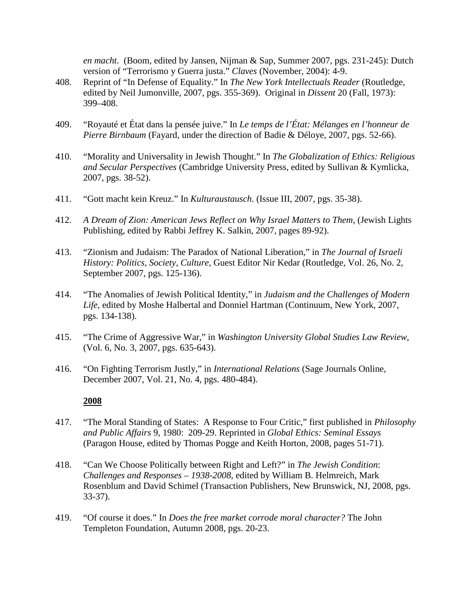*en macht*. (Boom, edited by Jansen, Nijman & Sap, Summer 2007, pgs. 231-245): Dutch version of "Terrorismo y Guerra justa." *Claves* (November, 2004): 4-9.

- 408. Reprint of "In Defense of Equality." In *The New York Intellectuals Reader* (Routledge, edited by Neil Jumonville, 2007, pgs. 355-369). Original in *Dissent* 20 (Fall, 1973): 399–408.
- 409. "Royauté et État dans la pensée juive." In *Le temps de l'État: Mélanges en l'honneur de Pierre Birnbaum* (Fayard, under the direction of Badie & Déloye, 2007, pgs. 52-66).
- 410. "Morality and Universality in Jewish Thought." In *The Globalization of Ethics: Religious and Secular Perspectives* (Cambridge University Press, edited by Sullivan & Kymlicka, 2007, pgs. 38-52).
- 411. "Gott macht kein Kreuz." In *Kulturaustausch*. (Issue III, 2007, pgs. 35-38).
- 412. *A Dream of Zion: American Jews Reflect on Why Israel Matters to Them*, (Jewish Lights Publishing, edited by Rabbi Jeffrey K. Salkin, 2007, pages 89-92).
- 413. "Zionism and Judaism: The Paradox of National Liberation," in *The Journal of Israeli History: Politics, Society, Culture*, Guest Editor Nir Kedar (Routledge, Vol. 26, No. 2, September 2007, pgs. 125-136).
- 414. "The Anomalies of Jewish Political Identity," in *Judaism and the Challenges of Modern Life*, edited by Moshe Halbertal and Donniel Hartman (Continuum, New York, 2007, pgs. 134-138).
- 415. "The Crime of Aggressive War," in *Washington University Global Studies Law Review*, (Vol. 6, No. 3, 2007, pgs. 635-643).
- 416. "On Fighting Terrorism Justly," in *International Relations* (Sage Journals Online, December 2007, Vol. 21, No. 4, pgs. 480-484).

- 417. "The Moral Standing of States: A Response to Four Critic," first published in *Philosophy and Public Affairs* 9, 1980: 209-29. Reprinted in *Global Ethics: Seminal Essays* (Paragon House, edited by Thomas Pogge and Keith Horton, 2008, pages 51-71).
- 418. "Can We Choose Politically between Right and Left?" in *The Jewish Condition*: *Challenges and Responses – 1938-2008*, edited by William B. Helmreich, Mark Rosenblum and David Schimel (Transaction Publishers, New Brunswick, NJ, 2008, pgs. 33-37).
- 419. "Of course it does." In *Does the free market corrode moral character?* The John Templeton Foundation, Autumn 2008, pgs. 20-23.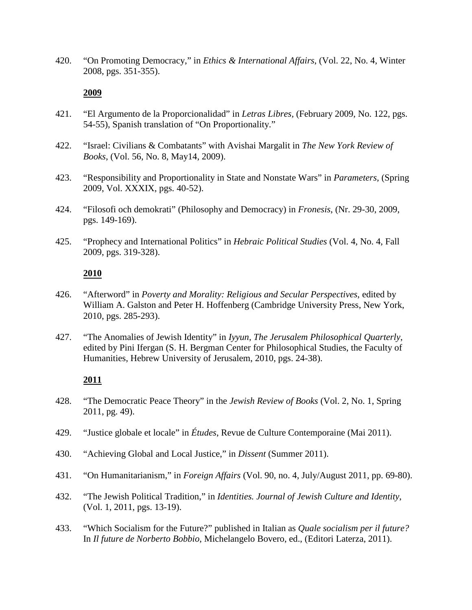420. "On Promoting Democracy," in *Ethics & International Affairs*, (Vol. 22, No. 4, Winter 2008, pgs. 351-355).

### **2009**

- 421. "El Argumento de la Proporcionalidad" in *Letras Libres,* (February 2009, No. 122, pgs. 54-55), Spanish translation of "On Proportionality."
- 422. "Israel: Civilians & Combatants" with Avishai Margalit in *The New York Review of Books*, (Vol. 56, No. 8, May14, 2009).
- 423. "Responsibility and Proportionality in State and Nonstate Wars" in *Parameters,* (Spring 2009, Vol. XXXIX, pgs. 40-52).
- 424. "Filosofi och demokrati" (Philosophy and Democracy) in *Fronesis*, (Nr. 29-30, 2009, pgs. 149-169).
- 425. "Prophecy and International Politics" in *Hebraic Political Studies* (Vol. 4, No. 4, Fall 2009, pgs. 319-328).

## **2010**

- 426. "Afterword" in *Poverty and Morality: Religious and Secular Perspectives*, edited by William A. Galston and Peter H. Hoffenberg (Cambridge University Press, New York, 2010, pgs. 285-293).
- 427. "The Anomalies of Jewish Identity" in *Iyyun, The Jerusalem Philosophical Quarterly*, edited by Pini Ifergan (S. H. Bergman Center for Philosophical Studies, the Faculty of Humanities, Hebrew University of Jerusalem, 2010, pgs. 24-38).

- 428. "The Democratic Peace Theory" in the *Jewish Review of Books* (Vol. 2, No. 1, Spring 2011, pg. 49).
- 429. "Justice globale et locale" in *Études*, Revue de Culture Contemporaine (Mai 2011).
- 430. "Achieving Global and Local Justice," in *Dissent* (Summer 2011).
- 431. "On Humanitarianism," in *Foreign Affairs* (Vol. 90, no. 4, July/August 2011, pp. 69-80).
- 432. "The Jewish Political Tradition," in *Identities. Journal of Jewish Culture and Identity*, (Vol. 1, 2011, pgs. 13-19).
- 433. "Which Socialism for the Future?" published in Italian as *Quale socialism per il future?* In *Il future de Norberto Bobbio*, Michelangelo Bovero, ed., (Editori Laterza, 2011).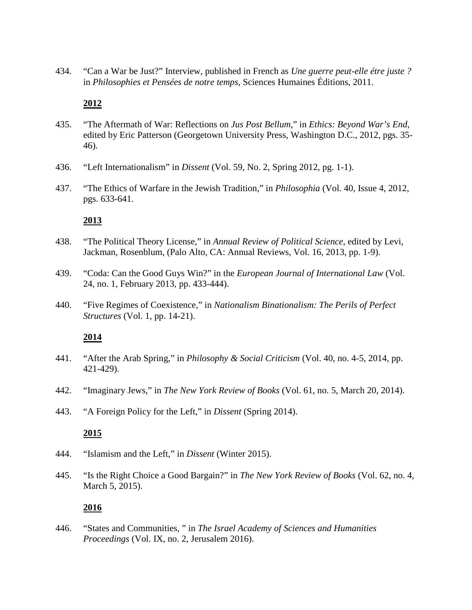434. "Can a War be Just?" Interview, published in French as *Une guerre peut-elle étre juste ?*  in *Philosophies et Pensées de notre temps*, Sciences Humaines Éditions, 2011.

# **2012**

- 435. "The Aftermath of War: Reflections on *Jus Post Bellum*," in *Ethics: Beyond War's End*, edited by Eric Patterson (Georgetown University Press, Washington D.C., 2012, pgs. 35- 46).
- 436. "Left Internationalism" in *Dissent* (Vol. 59, No. 2, Spring 2012, pg. 1-1).
- 437. "The Ethics of Warfare in the Jewish Tradition," in *Philosophia* (Vol. 40, Issue 4, 2012, pgs. 633-641.

# **2013**

- 438. "The Political Theory License," in *Annual Review of Political Science*, edited by Levi, Jackman, Rosenblum, (Palo Alto, CA: Annual Reviews, Vol. 16, 2013, pp. 1-9).
- 439. "Coda: Can the Good Guys Win?" in the *European Journal of International Law* (Vol. 24, no. 1, February 2013, pp. 433-444).
- 440. "Five Regimes of Coexistence," in *Nationalism Binationalism: The Perils of Perfect Structures* (Vol. 1, pp. 14-21).

# **2014**

- 441. "After the Arab Spring," in *Philosophy & Social Criticism* (Vol. 40, no. 4-5, 2014, pp. 421-429).
- 442. "Imaginary Jews," in *The New York Review of Books* (Vol. 61, no. 5, March 20, 2014).
- 443. "A Foreign Policy for the Left," in *Dissent* (Spring 2014).

# **2015**

- 444. "Islamism and the Left," in *Dissent* (Winter 2015).
- 445. "Is the Right Choice a Good Bargain?" in *The New York Review of Books* (Vol. 62, no. 4, March 5, 2015).

# **2016**

446. "States and Communities, " in *The Israel Academy of Sciences and Humanities Proceedings* (Vol. IX, no. 2, Jerusalem 2016).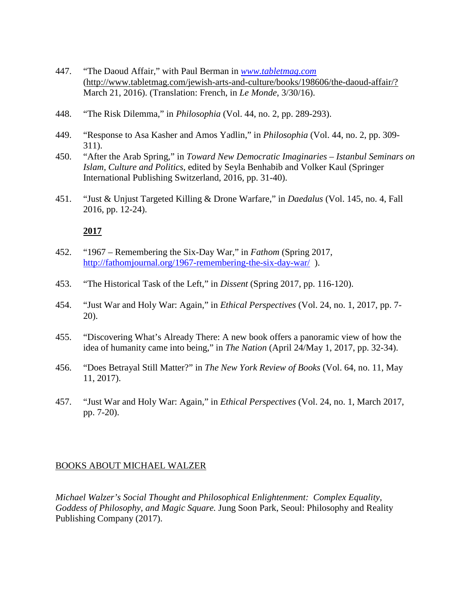- 447. "The Daoud Affair," with Paul Berman in *[www.tabletmag.com](http://www.tabletmag.com/)* [\(http://www.tabletmag.com/jewish-arts-and-culture/books/198606/the-daoud-affair/?](http://www.tabletmag.com/jewish-arts-and-culture/books/198606/the-daoud-affair/) March 21, 2016). (Translation: French, in *Le Monde*, 3/30/16).
- 448. "The Risk Dilemma," in *Philosophia* (Vol. 44, no. 2, pp. 289-293).
- 449. "Response to Asa Kasher and Amos Yadlin," in *Philosophia* (Vol. 44, no. 2, pp. 309- 311).
- 450. "After the Arab Spring," in *Toward New Democratic Imaginaries – Istanbul Seminars on Islam, Culture and Politics*, edited by Seyla Benhabib and Volker Kaul (Springer International Publishing Switzerland, 2016, pp. 31-40).
- 451. "Just & Unjust Targeted Killing & Drone Warfare," in *Daedalus* (Vol. 145, no. 4, Fall 2016, pp. 12-24).

- 452. "1967 Remembering the Six-Day War," in *Fathom* (Spring 2017, http://fathomjournal.org/1967-remembering-the-six-day-war/).
- 453. "The Historical Task of the Left," in *Dissent* (Spring 2017, pp. 116-120).
- 454. "Just War and Holy War: Again," in *Ethical Perspectives* (Vol. 24, no. 1, 2017, pp. 7- 20).
- 455. "Discovering What's Already There: A new book offers a panoramic view of how the idea of humanity came into being," in *The Nation* (April 24/May 1, 2017, pp. 32-34).
- 456. "Does Betrayal Still Matter?" in *The New York Review of Books* (Vol. 64, no. 11, May 11, 2017).
- 457. "Just War and Holy War: Again," in *Ethical Perspectives* (Vol. 24, no. 1, March 2017, pp. 7-20).

# BOOKS ABOUT MICHAEL WALZER

*Michael Walzer's Social Thought and Philosophical Enlightenment: Complex Equality, Goddess of Philosophy, and Magic Square.* Jung Soon Park, Seoul: Philosophy and Reality Publishing Company (2017).